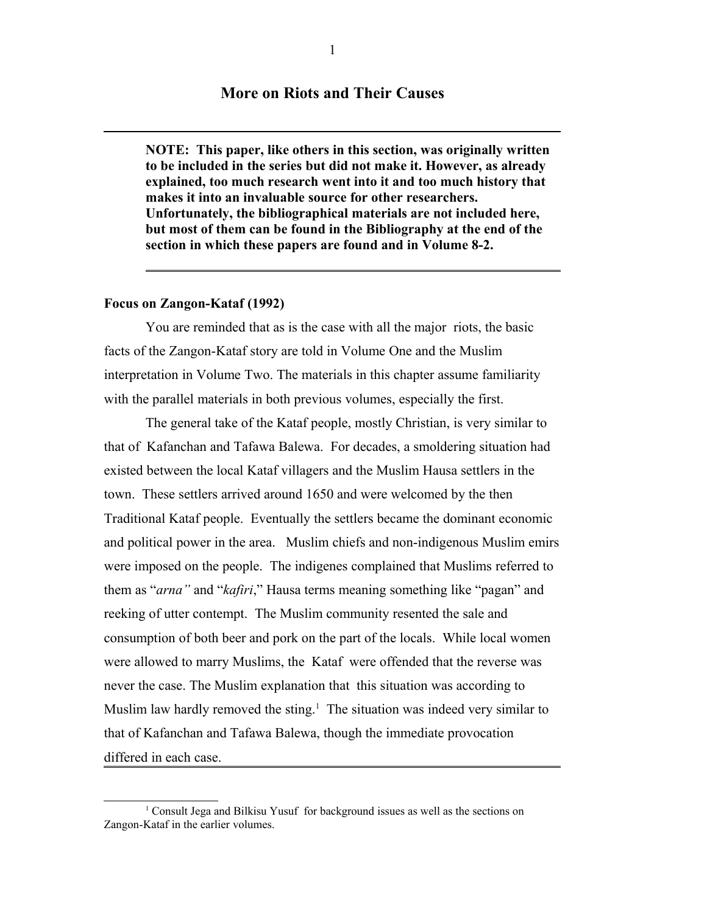## **More on Riots and Their Causes**

**NOTE: This paper, like others in this section, was originally written to be included in the series but did not make it. However, as already explained, too much research went into it and too much history that makes it into an invaluable source for other researchers. Unfortunately, the bibliographical materials are not included here, but most of them can be found in the Bibliography at the end of the section in which these papers are found and in Volume 8-2.**

### **Focus on Zangon-Kataf (1992)**

You are reminded that as is the case with all the major riots, the basic facts of the Zangon-Kataf story are told in Volume One and the Muslim interpretation in Volume Two. The materials in this chapter assume familiarity with the parallel materials in both previous volumes, especially the first.

The general take of the Kataf people, mostly Christian, is very similar to that of Kafanchan and Tafawa Balewa. For decades, a smoldering situation had existed between the local Kataf villagers and the Muslim Hausa settlers in the town. These settlers arrived around 1650 and were welcomed by the then Traditional Kataf people. Eventually the settlers became the dominant economic and political power in the area. Muslim chiefs and non-indigenous Muslim emirs were imposed on the people. The indigenes complained that Muslims referred to them as "*arna"* and "*kafiri*," Hausa terms meaning something like "pagan" and reeking of utter contempt. The Muslim community resented the sale and consumption of both beer and pork on the part of the locals. While local women were allowed to marry Muslims, the Kataf were offended that the reverse was never the case. The Muslim explanation that this situation was according to Muslim law hardly removed the sting.<sup>[1](#page-0-0)</sup> The situation was indeed very similar to that of Kafanchan and Tafawa Balewa, though the immediate provocation differed in each case.

<span id="page-0-0"></span><sup>&</sup>lt;sup>1</sup> Consult Jega and Bilkisu Yusuf for background issues as well as the sections on Zangon-Kataf in the earlier volumes.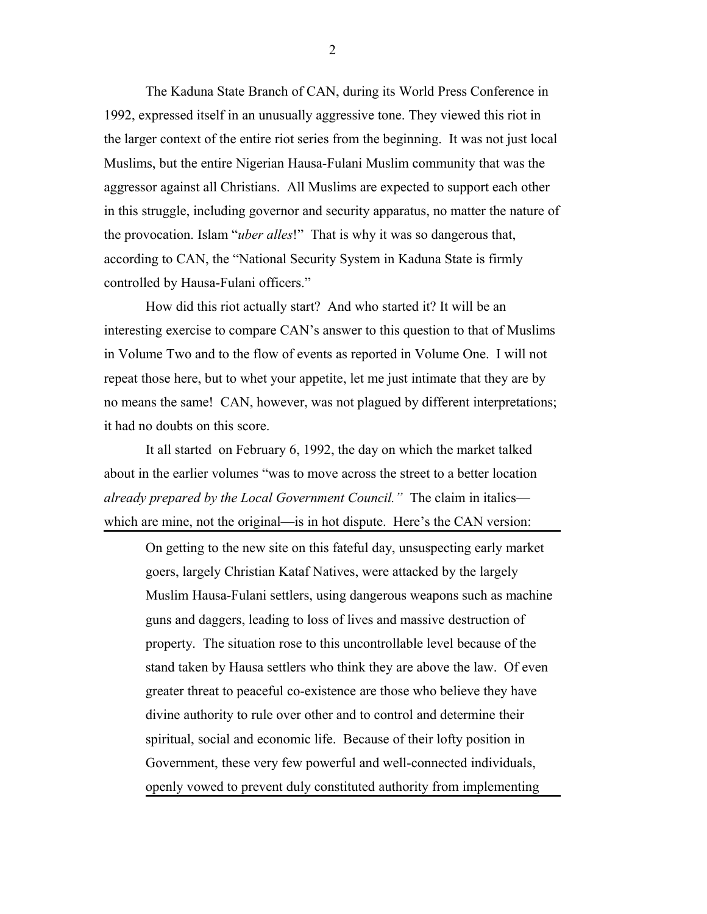The Kaduna State Branch of CAN, during its World Press Conference in 1992, expressed itself in an unusually aggressive tone. They viewed this riot in the larger context of the entire riot series from the beginning. It was not just local Muslims, but the entire Nigerian Hausa-Fulani Muslim community that was the aggressor against all Christians. All Muslims are expected to support each other in this struggle, including governor and security apparatus, no matter the nature of the provocation. Islam "*uber alles*!" That is why it was so dangerous that, according to CAN, the "National Security System in Kaduna State is firmly controlled by Hausa-Fulani officers."

How did this riot actually start? And who started it? It will be an interesting exercise to compare CAN's answer to this question to that of Muslims in Volume Two and to the flow of events as reported in Volume One. I will not repeat those here, but to whet your appetite, let me just intimate that they are by no means the same! CAN, however, was not plagued by different interpretations; it had no doubts on this score.

It all started on February 6, 1992, the day on which the market talked about in the earlier volumes "was to move across the street to a better location *already prepared by the Local Government Council."* The claim in italics which are mine, not the original—is in hot dispute. Here's the CAN version:

On getting to the new site on this fateful day, unsuspecting early market goers, largely Christian Kataf Natives, were attacked by the largely Muslim Hausa-Fulani settlers, using dangerous weapons such as machine guns and daggers, leading to loss of lives and massive destruction of property. The situation rose to this uncontrollable level because of the stand taken by Hausa settlers who think they are above the law. Of even greater threat to peaceful co-existence are those who believe they have divine authority to rule over other and to control and determine their spiritual, social and economic life. Because of their lofty position in Government, these very few powerful and well-connected individuals, openly vowed to prevent duly constituted authority from implementing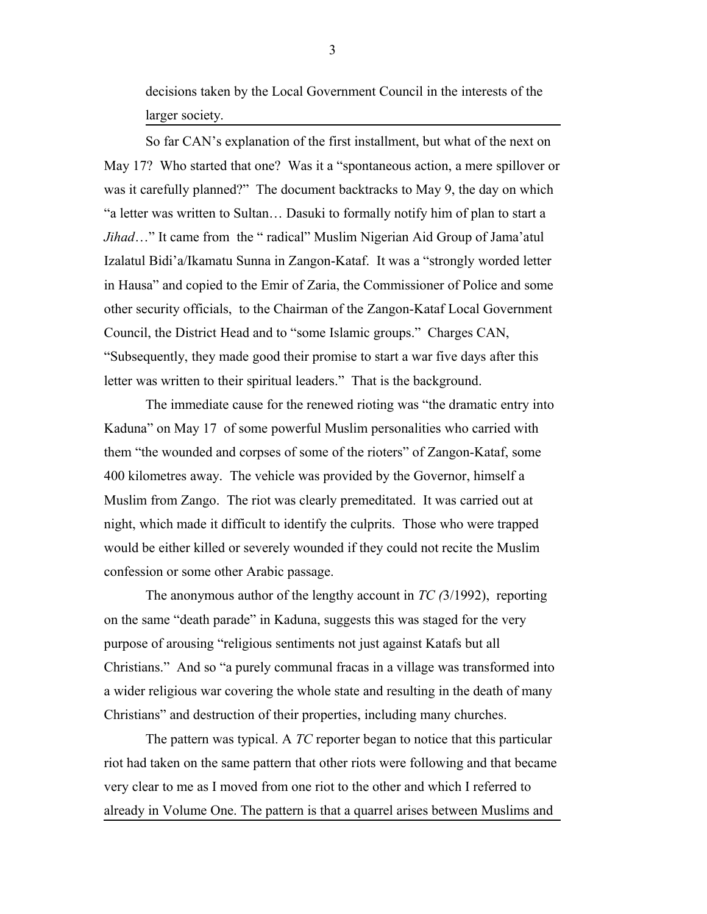decisions taken by the Local Government Council in the interests of the larger society.

So far CAN's explanation of the first installment, but what of the next on May 17? Who started that one? Was it a "spontaneous action, a mere spillover or was it carefully planned?" The document backtracks to May 9, the day on which "a letter was written to Sultan… Dasuki to formally notify him of plan to start a *Jihad*…" It came from the " radical" Muslim Nigerian Aid Group of Jama'atul Izalatul Bidi'a/Ikamatu Sunna in Zangon-Kataf. It was a "strongly worded letter in Hausa" and copied to the Emir of Zaria, the Commissioner of Police and some other security officials, to the Chairman of the Zangon-Kataf Local Government Council, the District Head and to "some Islamic groups." Charges CAN, "Subsequently, they made good their promise to start a war five days after this letter was written to their spiritual leaders." That is the background.

The immediate cause for the renewed rioting was "the dramatic entry into Kaduna" on May 17 of some powerful Muslim personalities who carried with them "the wounded and corpses of some of the rioters" of Zangon-Kataf, some 400 kilometres away. The vehicle was provided by the Governor, himself a Muslim from Zango. The riot was clearly premeditated. It was carried out at night, which made it difficult to identify the culprits. Those who were trapped would be either killed or severely wounded if they could not recite the Muslim confession or some other Arabic passage.

The anonymous author of the lengthy account in *TC (*3/1992), reporting on the same "death parade" in Kaduna, suggests this was staged for the very purpose of arousing "religious sentiments not just against Katafs but all Christians." And so "a purely communal fracas in a village was transformed into a wider religious war covering the whole state and resulting in the death of many Christians" and destruction of their properties, including many churches.

The pattern was typical. A *TC* reporter began to notice that this particular riot had taken on the same pattern that other riots were following and that became very clear to me as I moved from one riot to the other and which I referred to already in Volume One. The pattern is that a quarrel arises between Muslims and

3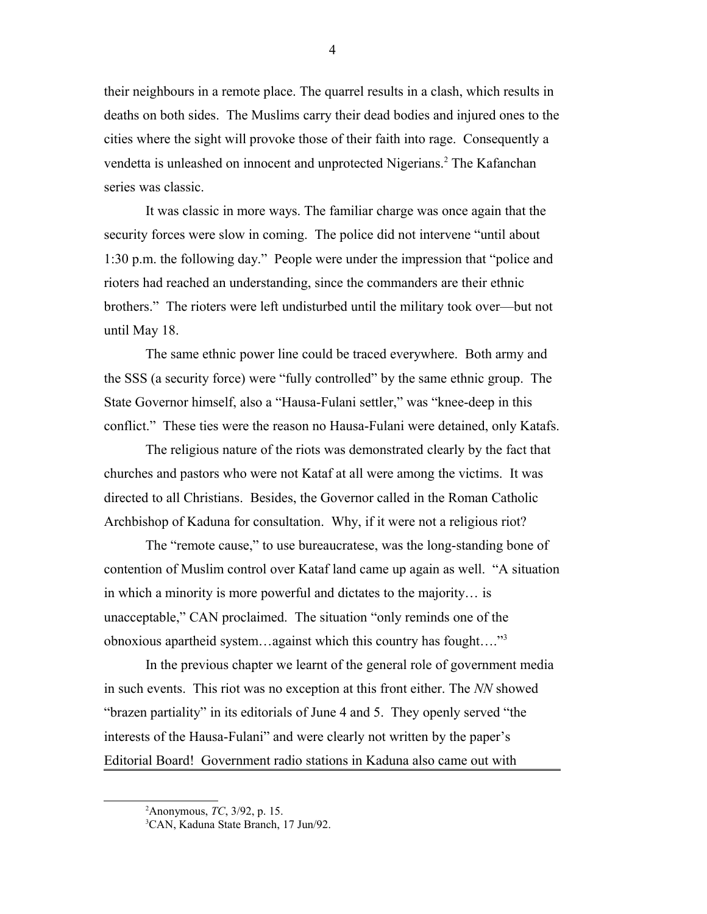their neighbours in a remote place. The quarrel results in a clash, which results in deaths on both sides. The Muslims carry their dead bodies and injured ones to the cities where the sight will provoke those of their faith into rage. Consequently a vendetta is unleashed on innocent and unprotected Nigerians.<sup>[2](#page-3-0)</sup> The Kafanchan series was classic.

It was classic in more ways. The familiar charge was once again that the security forces were slow in coming. The police did not intervene "until about 1:30 p.m. the following day." People were under the impression that "police and rioters had reached an understanding, since the commanders are their ethnic brothers." The rioters were left undisturbed until the military took over—but not until May 18.

The same ethnic power line could be traced everywhere. Both army and the SSS (a security force) were "fully controlled" by the same ethnic group. The State Governor himself, also a "Hausa-Fulani settler," was "knee-deep in this conflict." These ties were the reason no Hausa-Fulani were detained, only Katafs.

The religious nature of the riots was demonstrated clearly by the fact that churches and pastors who were not Kataf at all were among the victims. It was directed to all Christians. Besides, the Governor called in the Roman Catholic Archbishop of Kaduna for consultation. Why, if it were not a religious riot?

The "remote cause," to use bureaucratese, was the long-standing bone of contention of Muslim control over Kataf land came up again as well. "A situation in which a minority is more powerful and dictates to the majority… is unacceptable," CAN proclaimed. The situation "only reminds one of the obnoxious apartheid system…against which this country has fought…."[3](#page-3-1)

In the previous chapter we learnt of the general role of government media in such events. This riot was no exception at this front either. The *NN* showed "brazen partiality" in its editorials of June 4 and 5. They openly served "the interests of the Hausa-Fulani" and were clearly not written by the paper's Editorial Board! Government radio stations in Kaduna also came out with

<span id="page-3-0"></span><sup>2</sup>Anonymous, *TC*, 3/92, p. 15.

<span id="page-3-1"></span><sup>3</sup>CAN, Kaduna State Branch, 17 Jun/92.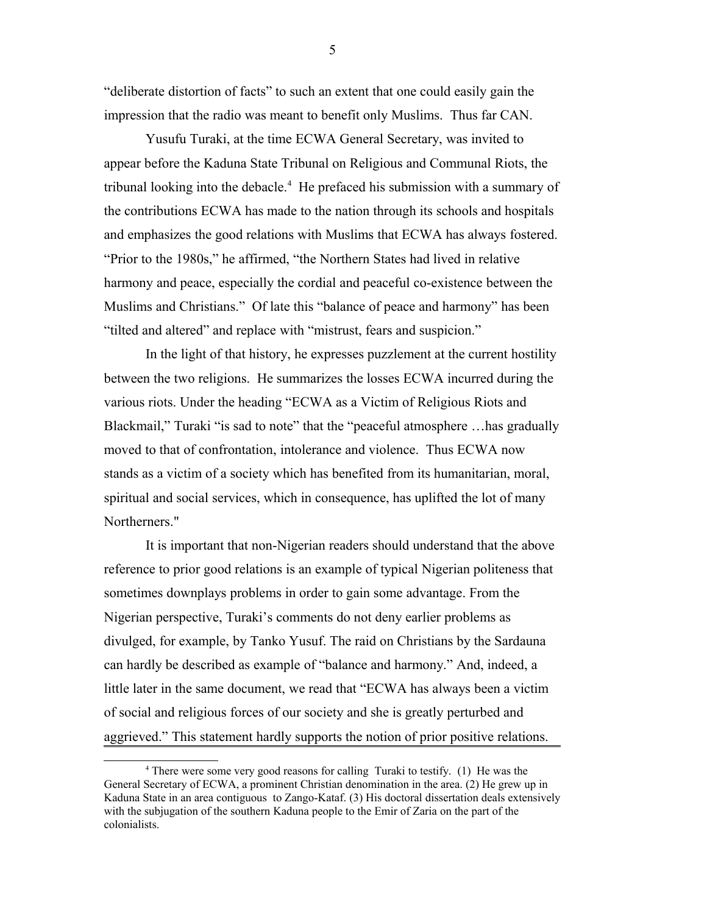"deliberate distortion of facts" to such an extent that one could easily gain the impression that the radio was meant to benefit only Muslims. Thus far CAN.

Yusufu Turaki, at the time ECWA General Secretary, was invited to appear before the Kaduna State Tribunal on Religious and Communal Riots, the tribunal looking into the debacle.<sup>[4](#page-4-0)</sup> He prefaced his submission with a summary of the contributions ECWA has made to the nation through its schools and hospitals and emphasizes the good relations with Muslims that ECWA has always fostered. "Prior to the 1980s," he affirmed, "the Northern States had lived in relative harmony and peace, especially the cordial and peaceful co-existence between the Muslims and Christians." Of late this "balance of peace and harmony" has been "tilted and altered" and replace with "mistrust, fears and suspicion."

In the light of that history, he expresses puzzlement at the current hostility between the two religions. He summarizes the losses ECWA incurred during the various riots. Under the heading "ECWA as a Victim of Religious Riots and Blackmail," Turaki "is sad to note" that the "peaceful atmosphere ... has gradually moved to that of confrontation, intolerance and violence. Thus ECWA now stands as a victim of a society which has benefited from its humanitarian, moral, spiritual and social services, which in consequence, has uplifted the lot of many Northerners."

It is important that non-Nigerian readers should understand that the above reference to prior good relations is an example of typical Nigerian politeness that sometimes downplays problems in order to gain some advantage. From the Nigerian perspective, Turaki's comments do not deny earlier problems as divulged, for example, by Tanko Yusuf. The raid on Christians by the Sardauna can hardly be described as example of "balance and harmony." And, indeed, a little later in the same document, we read that "ECWA has always been a victim of social and religious forces of our society and she is greatly perturbed and aggrieved." This statement hardly supports the notion of prior positive relations.

<span id="page-4-0"></span><sup>&</sup>lt;sup>4</sup> There were some very good reasons for calling Turaki to testify. (1) He was the General Secretary of ECWA, a prominent Christian denomination in the area. (2) He grew up in Kaduna State in an area contiguous to Zango-Kataf. (3) His doctoral dissertation deals extensively with the subjugation of the southern Kaduna people to the Emir of Zaria on the part of the colonialists.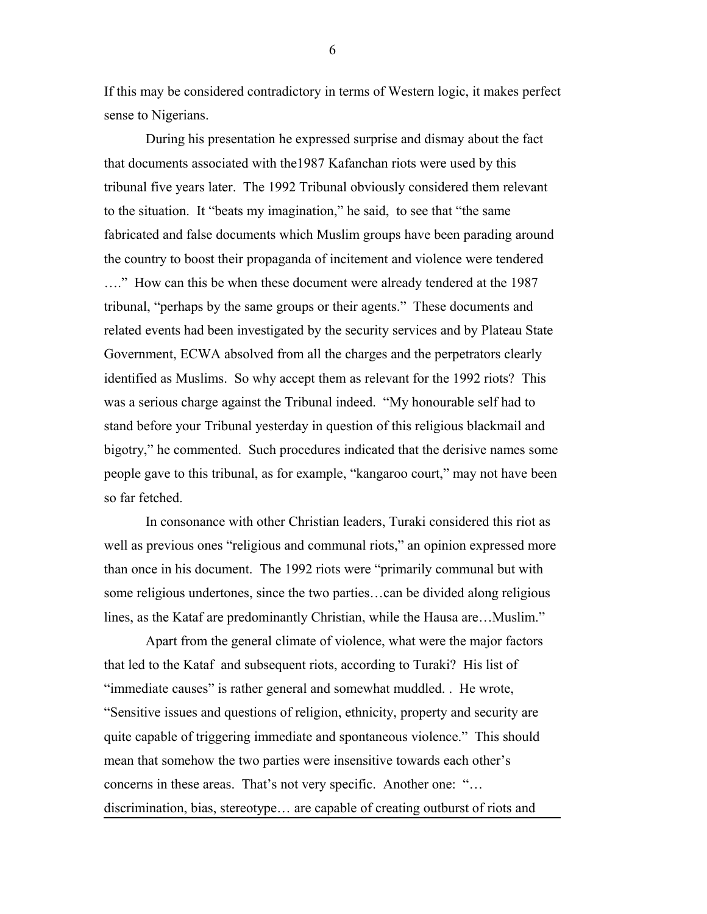If this may be considered contradictory in terms of Western logic, it makes perfect sense to Nigerians.

During his presentation he expressed surprise and dismay about the fact that documents associated with the1987 Kafanchan riots were used by this tribunal five years later. The 1992 Tribunal obviously considered them relevant to the situation. It "beats my imagination," he said, to see that "the same fabricated and false documents which Muslim groups have been parading around the country to boost their propaganda of incitement and violence were tendered …." How can this be when these document were already tendered at the 1987 tribunal, "perhaps by the same groups or their agents." These documents and related events had been investigated by the security services and by Plateau State Government, ECWA absolved from all the charges and the perpetrators clearly identified as Muslims. So why accept them as relevant for the 1992 riots? This was a serious charge against the Tribunal indeed. "My honourable self had to stand before your Tribunal yesterday in question of this religious blackmail and bigotry," he commented. Such procedures indicated that the derisive names some people gave to this tribunal, as for example, "kangaroo court," may not have been so far fetched.

In consonance with other Christian leaders, Turaki considered this riot as well as previous ones "religious and communal riots," an opinion expressed more than once in his document. The 1992 riots were "primarily communal but with some religious undertones, since the two parties…can be divided along religious lines, as the Kataf are predominantly Christian, while the Hausa are…Muslim."

Apart from the general climate of violence, what were the major factors that led to the Kataf and subsequent riots, according to Turaki? His list of "immediate causes" is rather general and somewhat muddled. . He wrote, "Sensitive issues and questions of religion, ethnicity, property and security are quite capable of triggering immediate and spontaneous violence." This should mean that somehow the two parties were insensitive towards each other's concerns in these areas. That's not very specific. Another one: "… discrimination, bias, stereotype… are capable of creating outburst of riots and

6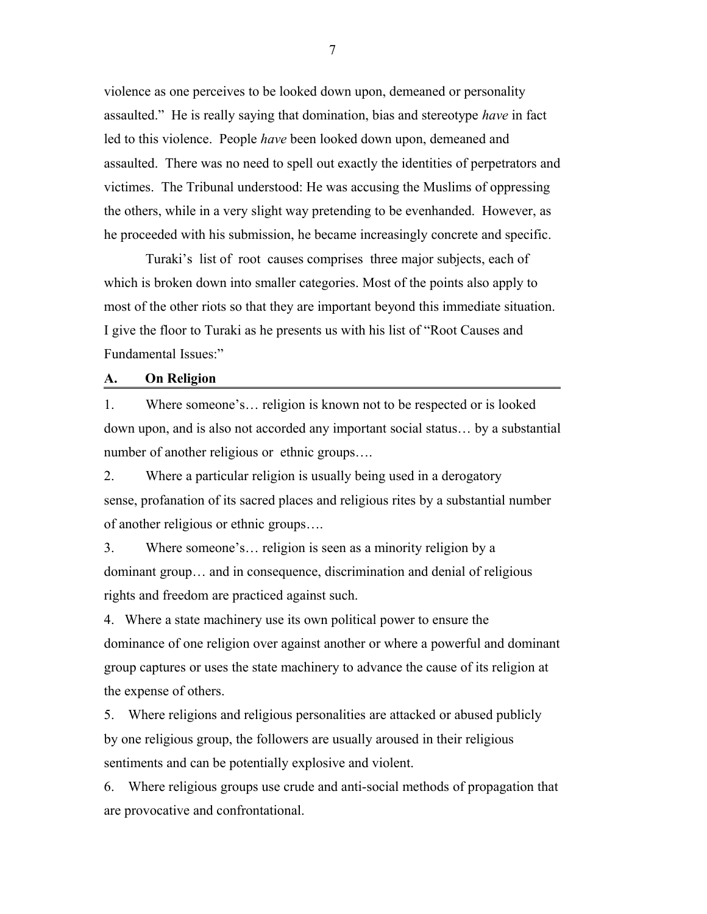violence as one perceives to be looked down upon, demeaned or personality assaulted." He is really saying that domination, bias and stereotype *have* in fact led to this violence. People *have* been looked down upon, demeaned and assaulted. There was no need to spell out exactly the identities of perpetrators and victimes. The Tribunal understood: He was accusing the Muslims of oppressing the others, while in a very slight way pretending to be evenhanded. However, as he proceeded with his submission, he became increasingly concrete and specific.

Turaki's list of root causes comprises three major subjects, each of which is broken down into smaller categories. Most of the points also apply to most of the other riots so that they are important beyond this immediate situation. I give the floor to Turaki as he presents us with his list of "Root Causes and Fundamental Issues:"

#### **A. On Religion**

1. Where someone's… religion is known not to be respected or is looked down upon, and is also not accorded any important social status… by a substantial number of another religious or ethnic groups….

2. Where a particular religion is usually being used in a derogatory sense, profanation of its sacred places and religious rites by a substantial number of another religious or ethnic groups….

3. Where someone's… religion is seen as a minority religion by a dominant group… and in consequence, discrimination and denial of religious rights and freedom are practiced against such.

4. Where a state machinery use its own political power to ensure the dominance of one religion over against another or where a powerful and dominant group captures or uses the state machinery to advance the cause of its religion at the expense of others.

5. Where religions and religious personalities are attacked or abused publicly by one religious group, the followers are usually aroused in their religious sentiments and can be potentially explosive and violent.

6. Where religious groups use crude and anti-social methods of propagation that are provocative and confrontational.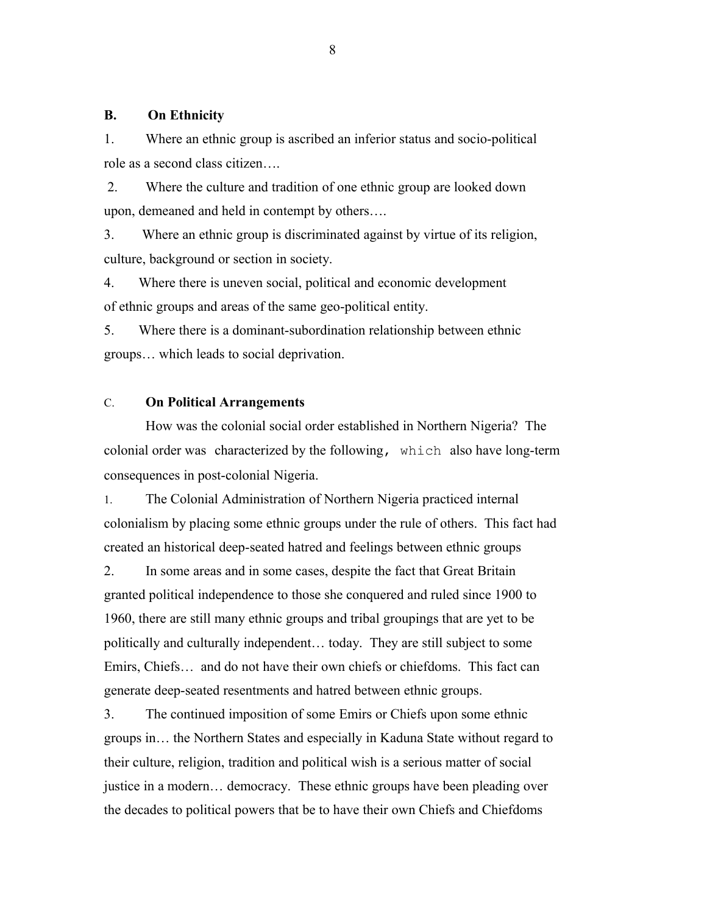# **B. On Ethnicity**

1. Where an ethnic group is ascribed an inferior status and socio-political role as a second class citizen….

 2. Where the culture and tradition of one ethnic group are looked down upon, demeaned and held in contempt by others….

3. Where an ethnic group is discriminated against by virtue of its religion, culture, background or section in society.

4. Where there is uneven social, political and economic development of ethnic groups and areas of the same geo-political entity.

5. Where there is a dominant-subordination relationship between ethnic groups… which leads to social deprivation.

# C. **On Political Arrangements**

How was the colonial social order established in Northern Nigeria? The colonial order was characterized by the following, which also have long-term consequences in post-colonial Nigeria.

1. The Colonial Administration of Northern Nigeria practiced internal colonialism by placing some ethnic groups under the rule of others. This fact had created an historical deep-seated hatred and feelings between ethnic groups

2. In some areas and in some cases, despite the fact that Great Britain granted political independence to those she conquered and ruled since 1900 to 1960, there are still many ethnic groups and tribal groupings that are yet to be politically and culturally independent… today. They are still subject to some Emirs, Chiefs… and do not have their own chiefs or chiefdoms. This fact can generate deep-seated resentments and hatred between ethnic groups.

3. The continued imposition of some Emirs or Chiefs upon some ethnic groups in… the Northern States and especially in Kaduna State without regard to their culture, religion, tradition and political wish is a serious matter of social justice in a modern… democracy. These ethnic groups have been pleading over the decades to political powers that be to have their own Chiefs and Chiefdoms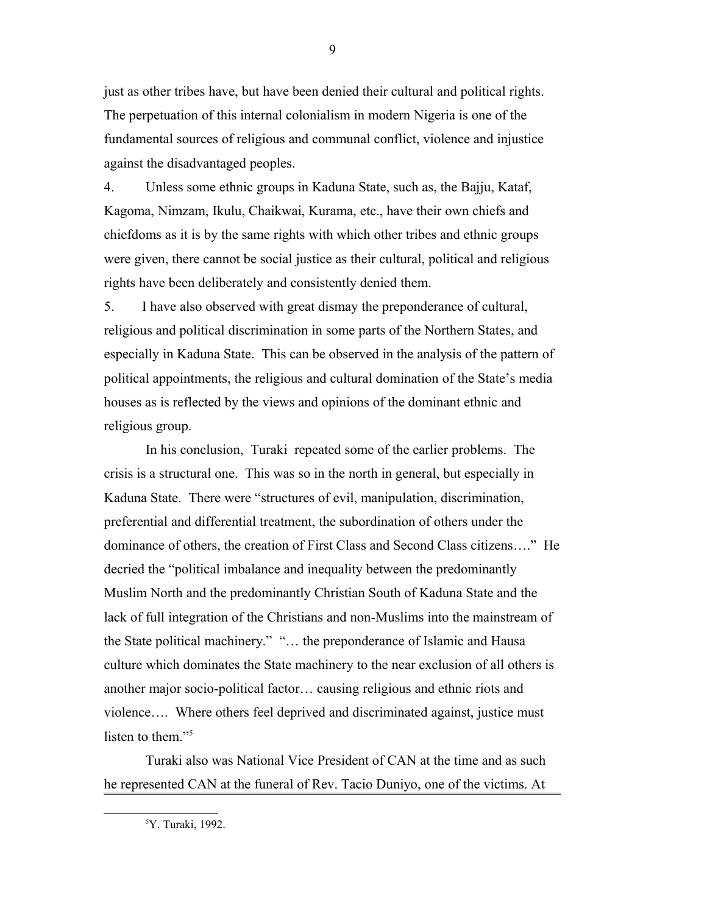just as other tribes have, but have been denied their cultural and political rights. The perpetuation of this internal colonialism in modern Nigeria is one of the fundamental sources of religious and communal conflict, violence and injustice against the disadvantaged peoples.

4. Unless some ethnic groups in Kaduna State, such as, the Bajju, Kataf, Kagoma, Nimzam, Ikulu, Chaikwai, Kurama, etc., have their own chiefs and chiefdoms as it is by the same rights with which other tribes and ethnic groups were given, there cannot be social justice as their cultural, political and religious rights have been deliberately and consistently denied them.

5. I have also observed with great dismay the preponderance of cultural, religious and political discrimination in some parts of the Northern States, and especially in Kaduna State. This can be observed in the analysis of the pattern of political appointments, the religious and cultural domination of the State's media houses as is reflected by the views and opinions of the dominant ethnic and religious group.

In his conclusion, Turaki repeated some of the earlier problems. The crisis is a structural one. This was so in the north in general, but especially in Kaduna State. There were "structures of evil, manipulation, discrimination, preferential and differential treatment, the subordination of others under the dominance of others, the creation of First Class and Second Class citizens…." He decried the "political imbalance and inequality between the predominantly Muslim North and the predominantly Christian South of Kaduna State and the lack of full integration of the Christians and non-Muslims into the mainstream of the State political machinery." "… the preponderance of Islamic and Hausa culture which dominates the State machinery to the near exclusion of all others is another major socio-political factor… causing religious and ethnic riots and violence…. Where others feel deprived and discriminated against, justice must listen to them."<sup>[5](#page-8-0)</sup>

Turaki also was National Vice President of CAN at the time and as such he represented CAN at the funeral of Rev. Tacio Duniyo, one of the victims. At

<span id="page-8-0"></span><sup>5</sup>Y. Turaki, 1992.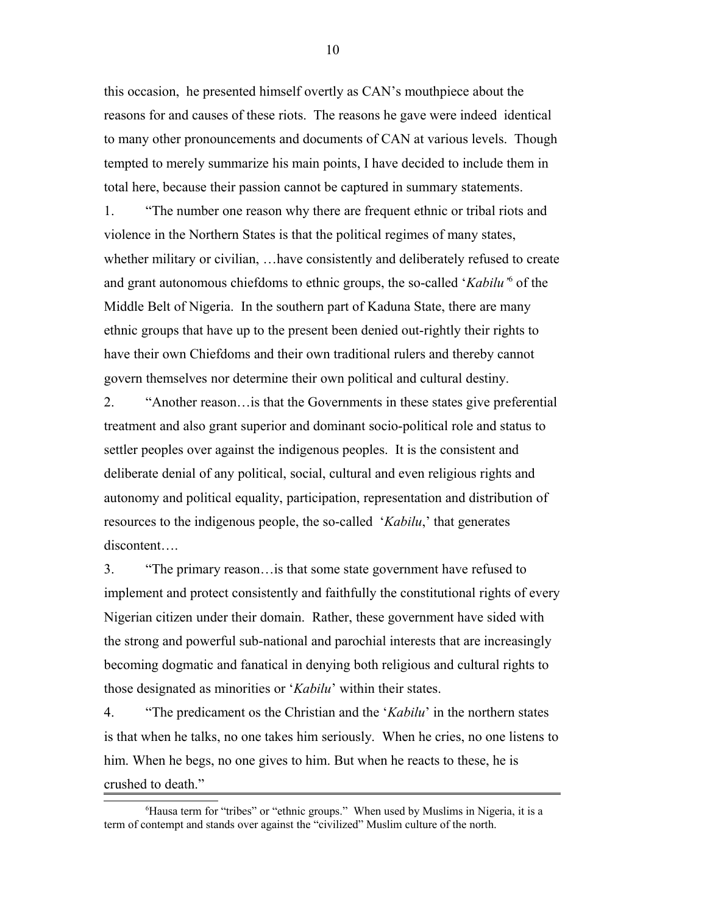this occasion, he presented himself overtly as CAN's mouthpiece about the reasons for and causes of these riots. The reasons he gave were indeed identical to many other pronouncements and documents of CAN at various levels. Though tempted to merely summarize his main points, I have decided to include them in total here, because their passion cannot be captured in summary statements.

1. "The number one reason why there are frequent ethnic or tribal riots and violence in the Northern States is that the political regimes of many states, whether military or civilian, …have consistently and deliberately refused to create and grant autonomous chiefdoms to ethnic groups, the so-called '*Kabilu'*<sup>[6](#page-9-0)</sup> of the Middle Belt of Nigeria. In the southern part of Kaduna State, there are many ethnic groups that have up to the present been denied out-rightly their rights to have their own Chiefdoms and their own traditional rulers and thereby cannot govern themselves nor determine their own political and cultural destiny.

2. "Another reason…is that the Governments in these states give preferential treatment and also grant superior and dominant socio-political role and status to settler peoples over against the indigenous peoples. It is the consistent and deliberate denial of any political, social, cultural and even religious rights and autonomy and political equality, participation, representation and distribution of resources to the indigenous people, the so-called '*Kabilu*,' that generates discontent….

3. "The primary reason…is that some state government have refused to implement and protect consistently and faithfully the constitutional rights of every Nigerian citizen under their domain. Rather, these government have sided with the strong and powerful sub-national and parochial interests that are increasingly becoming dogmatic and fanatical in denying both religious and cultural rights to those designated as minorities or '*Kabilu*' within their states.

4. "The predicament os the Christian and the '*Kabilu*' in the northern states is that when he talks, no one takes him seriously. When he cries, no one listens to him. When he begs, no one gives to him. But when he reacts to these, he is crushed to death."

<span id="page-9-0"></span><sup>6</sup>Hausa term for "tribes" or "ethnic groups." When used by Muslims in Nigeria, it is a term of contempt and stands over against the "civilized" Muslim culture of the north.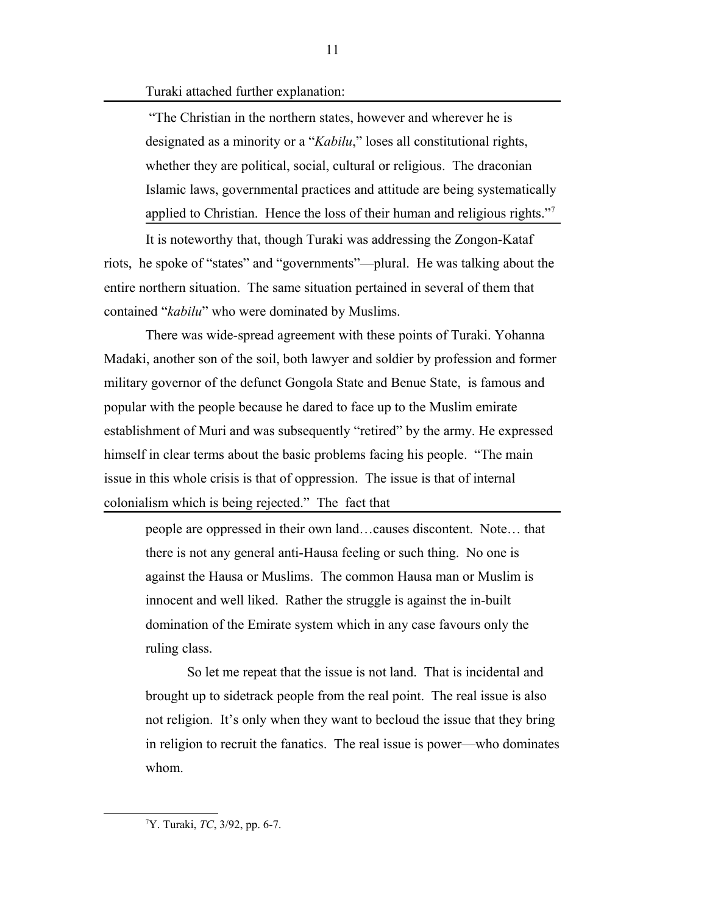Turaki attached further explanation:

 "The Christian in the northern states, however and wherever he is designated as a minority or a "*Kabilu*," loses all constitutional rights, whether they are political, social, cultural or religious. The draconian Islamic laws, governmental practices and attitude are being systematically applied to Christian. Hence the loss of their human and religious rights."

It is noteworthy that, though Turaki was addressing the Zongon-Kataf riots, he spoke of "states" and "governments"—plural. He was talking about the entire northern situation. The same situation pertained in several of them that contained "*kabilu*" who were dominated by Muslims.

There was wide-spread agreement with these points of Turaki. Yohanna Madaki, another son of the soil, both lawyer and soldier by profession and former military governor of the defunct Gongola State and Benue State, is famous and popular with the people because he dared to face up to the Muslim emirate establishment of Muri and was subsequently "retired" by the army. He expressed himself in clear terms about the basic problems facing his people. "The main issue in this whole crisis is that of oppression. The issue is that of internal colonialism which is being rejected." The fact that

people are oppressed in their own land…causes discontent. Note… that there is not any general anti-Hausa feeling or such thing. No one is against the Hausa or Muslims. The common Hausa man or Muslim is innocent and well liked. Rather the struggle is against the in-built domination of the Emirate system which in any case favours only the ruling class.

So let me repeat that the issue is not land. That is incidental and brought up to sidetrack people from the real point. The real issue is also not religion. It's only when they want to becloud the issue that they bring in religion to recruit the fanatics. The real issue is power—who dominates whom.

<span id="page-10-0"></span><sup>7</sup>Y. Turaki, *TC*, 3/92, pp. 6-7.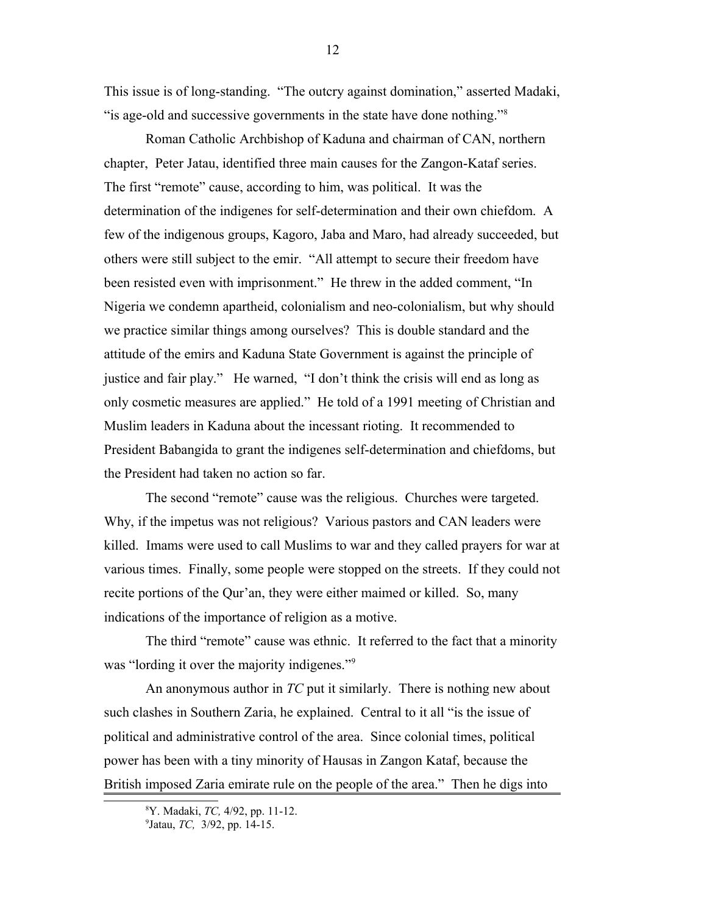This issue is of long-standing. "The outcry against domination," asserted Madaki, "is age-old and successive governments in the state have done nothing."[8](#page-11-0)

Roman Catholic Archbishop of Kaduna and chairman of CAN, northern chapter, Peter Jatau, identified three main causes for the Zangon-Kataf series. The first "remote" cause, according to him, was political. It was the determination of the indigenes for self-determination and their own chiefdom. A few of the indigenous groups, Kagoro, Jaba and Maro, had already succeeded, but others were still subject to the emir. "All attempt to secure their freedom have been resisted even with imprisonment." He threw in the added comment, "In Nigeria we condemn apartheid, colonialism and neo-colonialism, but why should we practice similar things among ourselves? This is double standard and the attitude of the emirs and Kaduna State Government is against the principle of justice and fair play." He warned, "I don't think the crisis will end as long as only cosmetic measures are applied." He told of a 1991 meeting of Christian and Muslim leaders in Kaduna about the incessant rioting. It recommended to President Babangida to grant the indigenes self-determination and chiefdoms, but the President had taken no action so far.

The second "remote" cause was the religious. Churches were targeted. Why, if the impetus was not religious? Various pastors and CAN leaders were killed. Imams were used to call Muslims to war and they called prayers for war at various times. Finally, some people were stopped on the streets. If they could not recite portions of the Qur'an, they were either maimed or killed. So, many indications of the importance of religion as a motive.

The third "remote" cause was ethnic. It referred to the fact that a minority was "lording it over the majority indigenes."<sup>[9](#page-11-1)</sup>

An anonymous author in *TC* put it similarly. There is nothing new about such clashes in Southern Zaria, he explained. Central to it all "is the issue of political and administrative control of the area. Since colonial times, political power has been with a tiny minority of Hausas in Zangon Kataf, because the British imposed Zaria emirate rule on the people of the area." Then he digs into

<span id="page-11-0"></span><sup>8</sup>Y. Madaki, *TC,* 4/92, pp. 11-12.

<span id="page-11-1"></span><sup>9</sup> Jatau, *TC,* 3/92, pp. 14-15.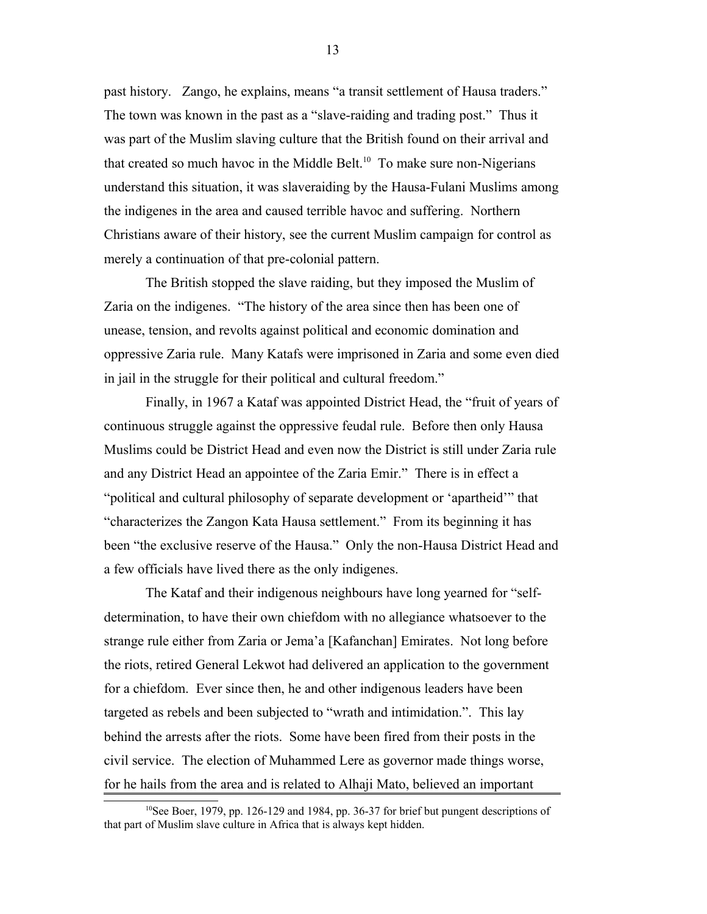past history. Zango, he explains, means "a transit settlement of Hausa traders." The town was known in the past as a "slave-raiding and trading post." Thus it was part of the Muslim slaving culture that the British found on their arrival and that created so much havoc in the Middle Belt.<sup>[10](#page-12-0)</sup> To make sure non-Nigerians understand this situation, it was slaveraiding by the Hausa-Fulani Muslims among the indigenes in the area and caused terrible havoc and suffering. Northern Christians aware of their history, see the current Muslim campaign for control as merely a continuation of that pre-colonial pattern.

The British stopped the slave raiding, but they imposed the Muslim of Zaria on the indigenes. "The history of the area since then has been one of unease, tension, and revolts against political and economic domination and oppressive Zaria rule. Many Katafs were imprisoned in Zaria and some even died in jail in the struggle for their political and cultural freedom."

Finally, in 1967 a Kataf was appointed District Head, the "fruit of years of continuous struggle against the oppressive feudal rule. Before then only Hausa Muslims could be District Head and even now the District is still under Zaria rule and any District Head an appointee of the Zaria Emir." There is in effect a "political and cultural philosophy of separate development or 'apartheid'" that "characterizes the Zangon Kata Hausa settlement." From its beginning it has been "the exclusive reserve of the Hausa." Only the non-Hausa District Head and a few officials have lived there as the only indigenes.

The Kataf and their indigenous neighbours have long yearned for "selfdetermination, to have their own chiefdom with no allegiance whatsoever to the strange rule either from Zaria or Jema'a [Kafanchan] Emirates. Not long before the riots, retired General Lekwot had delivered an application to the government for a chiefdom. Ever since then, he and other indigenous leaders have been targeted as rebels and been subjected to "wrath and intimidation.". This lay behind the arrests after the riots. Some have been fired from their posts in the civil service. The election of Muhammed Lere as governor made things worse, for he hails from the area and is related to Alhaji Mato, believed an important

<span id="page-12-0"></span><sup>&</sup>lt;sup>10</sup>See Boer, 1979, pp. 126-129 and 1984, pp. 36-37 for brief but pungent descriptions of that part of Muslim slave culture in Africa that is always kept hidden.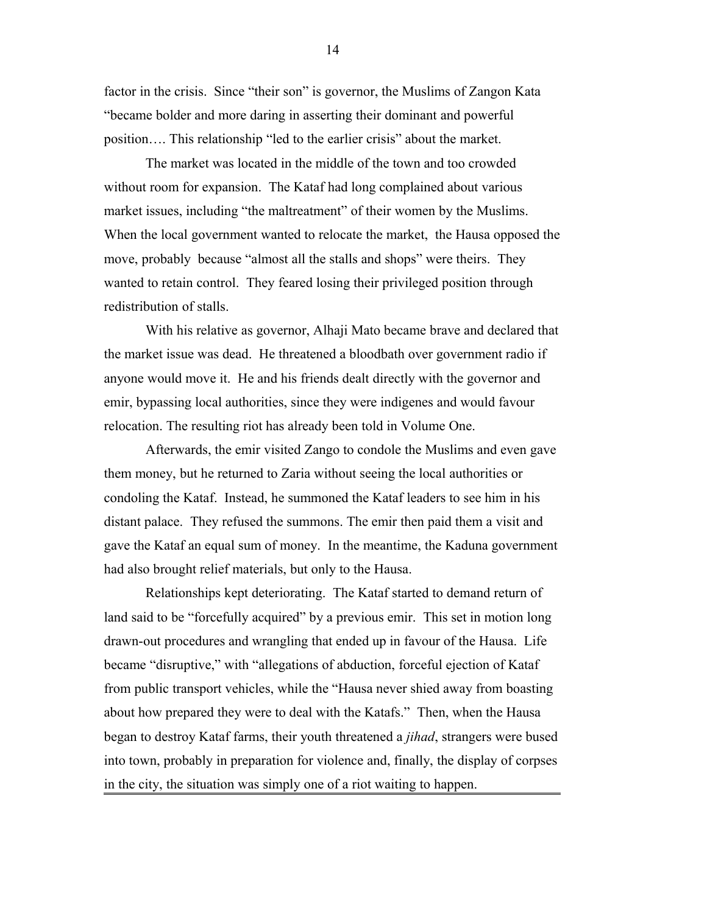factor in the crisis. Since "their son" is governor, the Muslims of Zangon Kata "became bolder and more daring in asserting their dominant and powerful position…. This relationship "led to the earlier crisis" about the market.

The market was located in the middle of the town and too crowded without room for expansion. The Kataf had long complained about various market issues, including "the maltreatment" of their women by the Muslims. When the local government wanted to relocate the market, the Hausa opposed the move, probably because "almost all the stalls and shops" were theirs. They wanted to retain control. They feared losing their privileged position through redistribution of stalls.

With his relative as governor, Alhaji Mato became brave and declared that the market issue was dead. He threatened a bloodbath over government radio if anyone would move it. He and his friends dealt directly with the governor and emir, bypassing local authorities, since they were indigenes and would favour relocation. The resulting riot has already been told in Volume One.

Afterwards, the emir visited Zango to condole the Muslims and even gave them money, but he returned to Zaria without seeing the local authorities or condoling the Kataf. Instead, he summoned the Kataf leaders to see him in his distant palace. They refused the summons. The emir then paid them a visit and gave the Kataf an equal sum of money. In the meantime, the Kaduna government had also brought relief materials, but only to the Hausa.

Relationships kept deteriorating. The Kataf started to demand return of land said to be "forcefully acquired" by a previous emir. This set in motion long drawn-out procedures and wrangling that ended up in favour of the Hausa. Life became "disruptive," with "allegations of abduction, forceful ejection of Kataf from public transport vehicles, while the "Hausa never shied away from boasting about how prepared they were to deal with the Katafs." Then, when the Hausa began to destroy Kataf farms, their youth threatened a *jihad*, strangers were bused into town, probably in preparation for violence and, finally, the display of corpses in the city, the situation was simply one of a riot waiting to happen.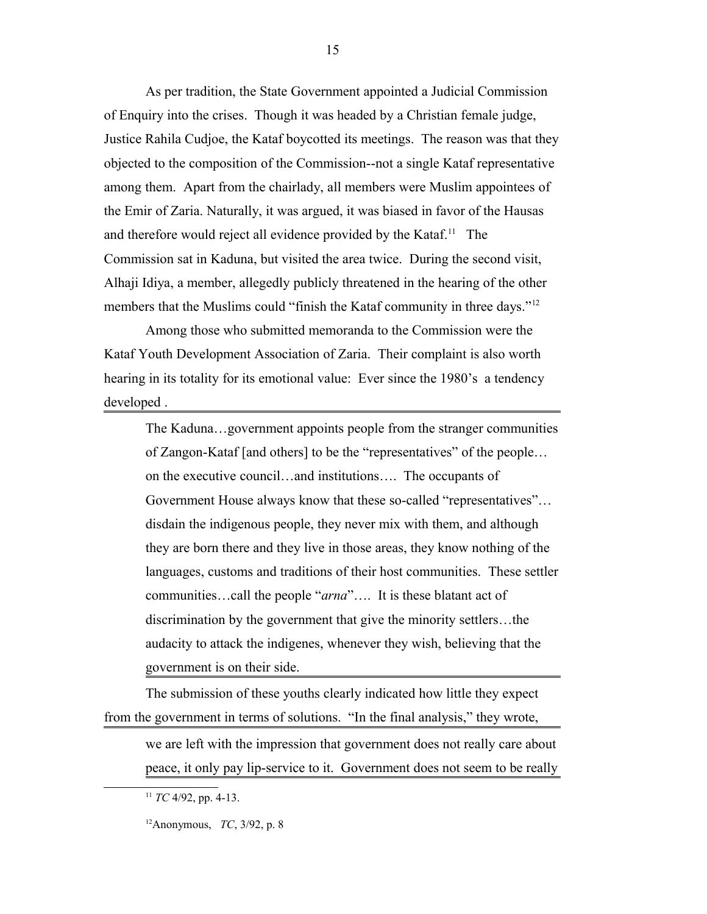As per tradition, the State Government appointed a Judicial Commission of Enquiry into the crises. Though it was headed by a Christian female judge, Justice Rahila Cudjoe, the Kataf boycotted its meetings. The reason was that they objected to the composition of the Commission--not a single Kataf representative among them. Apart from the chairlady, all members were Muslim appointees of the Emir of Zaria. Naturally, it was argued, it was biased in favor of the Hausas and therefore would reject all evidence provided by the Kataf.<sup>[11](#page-14-0)</sup> The Commission sat in Kaduna, but visited the area twice. During the second visit, Alhaji Idiya, a member, allegedly publicly threatened in the hearing of the other members that the Muslims could "finish the Kataf community in three days."<sup>[12](#page-14-1)</sup>

15

Among those who submitted memoranda to the Commission were the Kataf Youth Development Association of Zaria. Their complaint is also worth hearing in its totality for its emotional value: Ever since the 1980's a tendency developed .

The Kaduna…government appoints people from the stranger communities of Zangon-Kataf [and others] to be the "representatives" of the people… on the executive council…and institutions…. The occupants of Government House always know that these so-called "representatives"… disdain the indigenous people, they never mix with them, and although they are born there and they live in those areas, they know nothing of the languages, customs and traditions of their host communities. These settler communities…call the people "*arna*"…. It is these blatant act of discrimination by the government that give the minority settlers…the audacity to attack the indigenes, whenever they wish, believing that the government is on their side.

The submission of these youths clearly indicated how little they expect from the government in terms of solutions. "In the final analysis," they wrote,

we are left with the impression that government does not really care about peace, it only pay lip-service to it. Government does not seem to be really

<span id="page-14-0"></span><sup>11</sup> *TC* 4/92, pp. 4-13.

<span id="page-14-1"></span><sup>12</sup>Anonymous, *TC*, 3/92, p. 8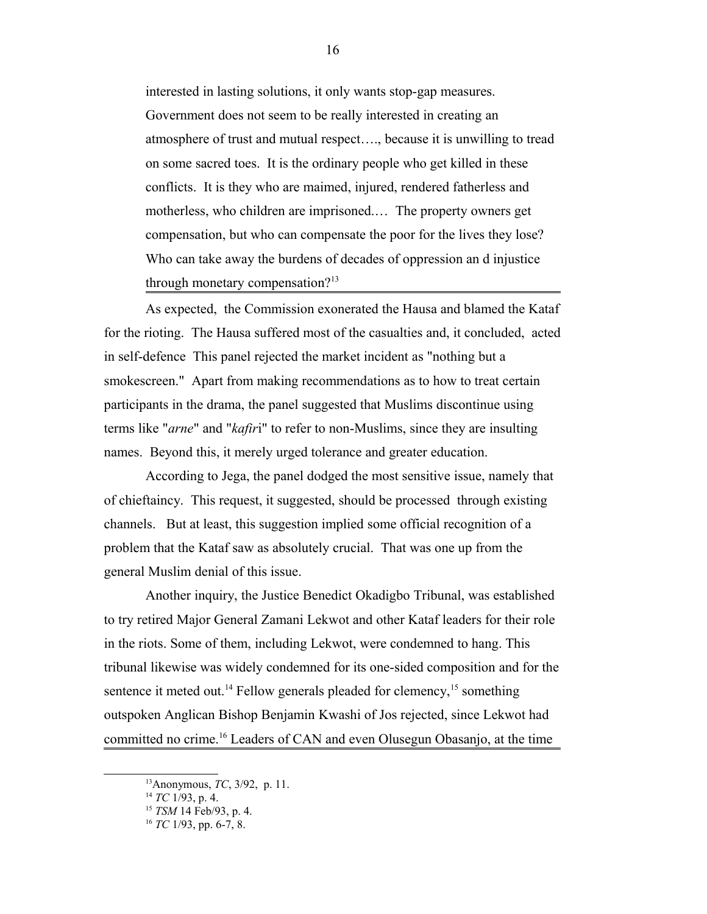interested in lasting solutions, it only wants stop-gap measures. Government does not seem to be really interested in creating an atmosphere of trust and mutual respect…., because it is unwilling to tread on some sacred toes. It is the ordinary people who get killed in these conflicts. It is they who are maimed, injured, rendered fatherless and motherless, who children are imprisoned.… The property owners get compensation, but who can compensate the poor for the lives they lose? Who can take away the burdens of decades of oppression an d injustice through monetary compensation?<sup>[13](#page-15-0)</sup>

As expected, the Commission exonerated the Hausa and blamed the Kataf for the rioting. The Hausa suffered most of the casualties and, it concluded, acted in self-defence This panel rejected the market incident as "nothing but a smokescreen." Apart from making recommendations as to how to treat certain participants in the drama, the panel suggested that Muslims discontinue using terms like "*arne*" and "*kafir*i" to refer to non-Muslims, since they are insulting names. Beyond this, it merely urged tolerance and greater education.

According to Jega, the panel dodged the most sensitive issue, namely that of chieftaincy. This request, it suggested, should be processed through existing channels. But at least, this suggestion implied some official recognition of a problem that the Kataf saw as absolutely crucial. That was one up from the general Muslim denial of this issue.

Another inquiry, the Justice Benedict Okadigbo Tribunal, was established to try retired Major General Zamani Lekwot and other Kataf leaders for their role in the riots. Some of them, including Lekwot, were condemned to hang. This tribunal likewise was widely condemned for its one-sided composition and for the sentence it meted out.<sup>[14](#page-15-1)</sup> Fellow generals pleaded for clemency,<sup>[15](#page-15-2)</sup> something outspoken Anglican Bishop Benjamin Kwashi of Jos rejected, since Lekwot had committed no crime.[16](#page-15-3) Leaders of CAN and even Olusegun Obasanjo, at the time

<span id="page-15-0"></span><sup>13</sup>Anonymous, *TC*, 3/92, p. 11.

<span id="page-15-1"></span><sup>14</sup> *TC* 1/93, p. 4.

<span id="page-15-2"></span><sup>15</sup> *TSM* 14 Feb/93, p. 4.

<span id="page-15-3"></span><sup>16</sup> *TC* 1/93, pp. 6-7, 8.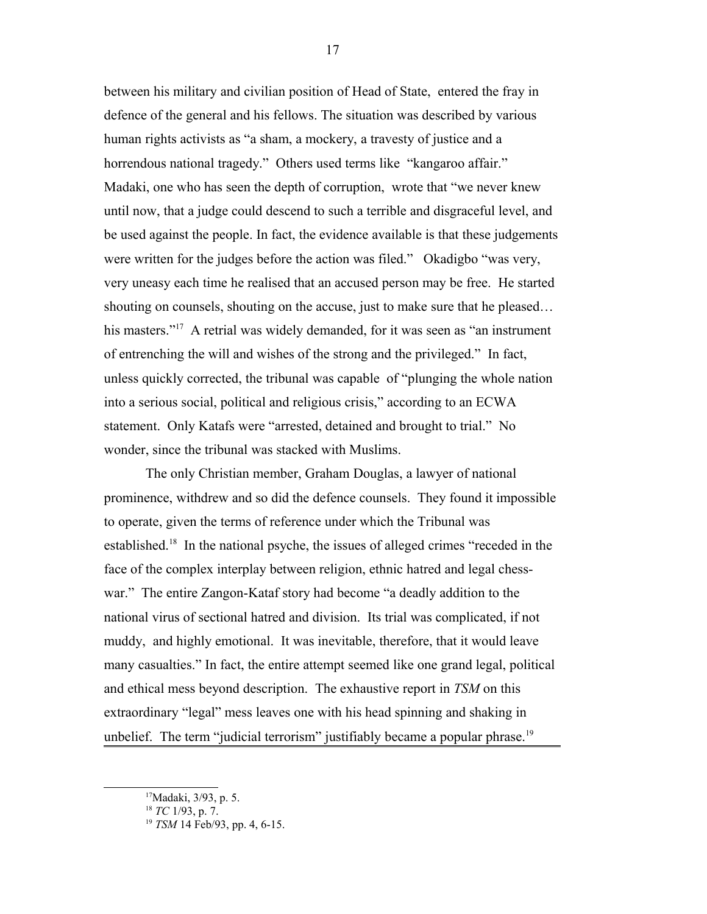between his military and civilian position of Head of State, entered the fray in defence of the general and his fellows. The situation was described by various human rights activists as "a sham, a mockery, a travesty of justice and a horrendous national tragedy." Others used terms like "kangaroo affair." Madaki, one who has seen the depth of corruption, wrote that "we never knew until now, that a judge could descend to such a terrible and disgraceful level, and be used against the people. In fact, the evidence available is that these judgements were written for the judges before the action was filed." Okadigbo "was very, very uneasy each time he realised that an accused person may be free. He started shouting on counsels, shouting on the accuse, just to make sure that he pleased… his masters."<sup>[17](#page-16-0)</sup> A retrial was widely demanded, for it was seen as "an instrument of entrenching the will and wishes of the strong and the privileged." In fact, unless quickly corrected, the tribunal was capable of "plunging the whole nation into a serious social, political and religious crisis," according to an ECWA statement. Only Katafs were "arrested, detained and brought to trial." No wonder, since the tribunal was stacked with Muslims.

The only Christian member, Graham Douglas, a lawyer of national prominence, withdrew and so did the defence counsels. They found it impossible to operate, given the terms of reference under which the Tribunal was established.[18](#page-16-1) In the national psyche, the issues of alleged crimes "receded in the face of the complex interplay between religion, ethnic hatred and legal chesswar." The entire Zangon-Kataf story had become "a deadly addition to the national virus of sectional hatred and division. Its trial was complicated, if not muddy, and highly emotional. It was inevitable, therefore, that it would leave many casualties." In fact, the entire attempt seemed like one grand legal, political and ethical mess beyond description. The exhaustive report in *TSM* on this extraordinary "legal" mess leaves one with his head spinning and shaking in unbelief. The term "judicial terrorism" justifiably became a popular phrase.<sup>[19](#page-16-2)</sup>

<span id="page-16-0"></span><sup>&</sup>lt;sup>17</sup>Madaki, 3/93, p. 5.

<span id="page-16-1"></span><sup>18</sup> *TC* 1/93, p. 7.

<span id="page-16-2"></span><sup>19</sup> *TSM* 14 Feb/93, pp. 4, 6-15.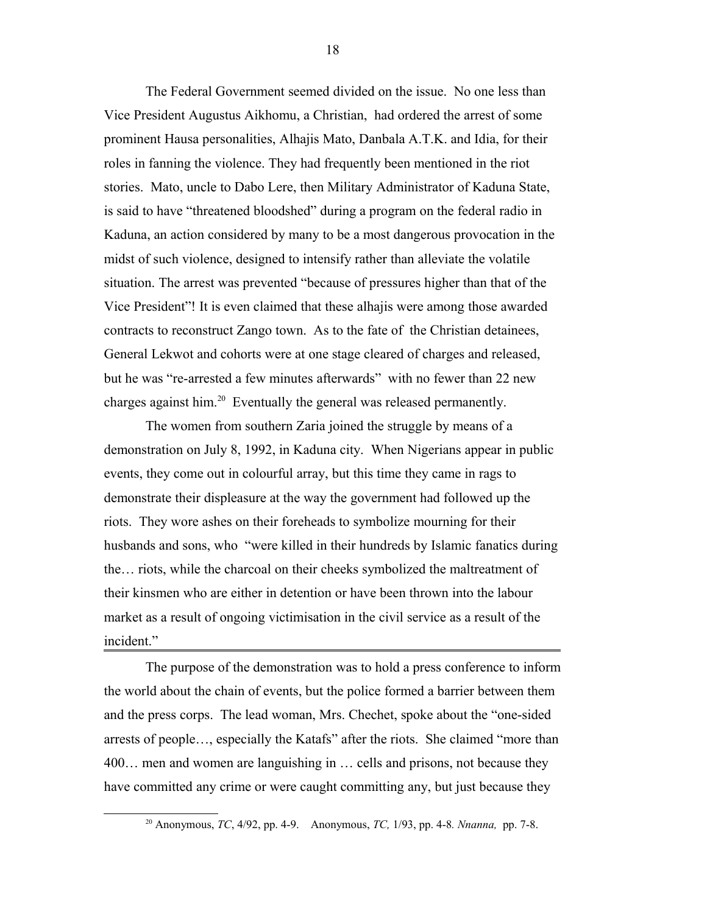The Federal Government seemed divided on the issue. No one less than Vice President Augustus Aikhomu, a Christian, had ordered the arrest of some prominent Hausa personalities, Alhajis Mato, Danbala A.T.K. and Idia, for their roles in fanning the violence. They had frequently been mentioned in the riot stories. Mato, uncle to Dabo Lere, then Military Administrator of Kaduna State, is said to have "threatened bloodshed" during a program on the federal radio in Kaduna, an action considered by many to be a most dangerous provocation in the midst of such violence, designed to intensify rather than alleviate the volatile situation. The arrest was prevented "because of pressures higher than that of the Vice President"! It is even claimed that these alhajis were among those awarded contracts to reconstruct Zango town. As to the fate of the Christian detainees, General Lekwot and cohorts were at one stage cleared of charges and released, but he was "re-arrested a few minutes afterwards" with no fewer than 22 new charges against him.<sup>[20](#page-17-0)</sup> Eventually the general was released permanently.

The women from southern Zaria joined the struggle by means of a demonstration on July 8, 1992, in Kaduna city. When Nigerians appear in public events, they come out in colourful array, but this time they came in rags to demonstrate their displeasure at the way the government had followed up the riots. They wore ashes on their foreheads to symbolize mourning for their husbands and sons, who "were killed in their hundreds by Islamic fanatics during the… riots, while the charcoal on their cheeks symbolized the maltreatment of their kinsmen who are either in detention or have been thrown into the labour market as a result of ongoing victimisation in the civil service as a result of the incident."

The purpose of the demonstration was to hold a press conference to inform the world about the chain of events, but the police formed a barrier between them and the press corps. The lead woman, Mrs. Chechet, spoke about the "one-sided arrests of people…, especially the Katafs" after the riots. She claimed "more than 400… men and women are languishing in … cells and prisons, not because they have committed any crime or were caught committing any, but just because they

<span id="page-17-0"></span><sup>20</sup> Anonymous, *TC*, 4/92, pp. 4-9. Anonymous, *TC,* 1/93, pp. 4-8*. Nnanna,* pp. 7-8.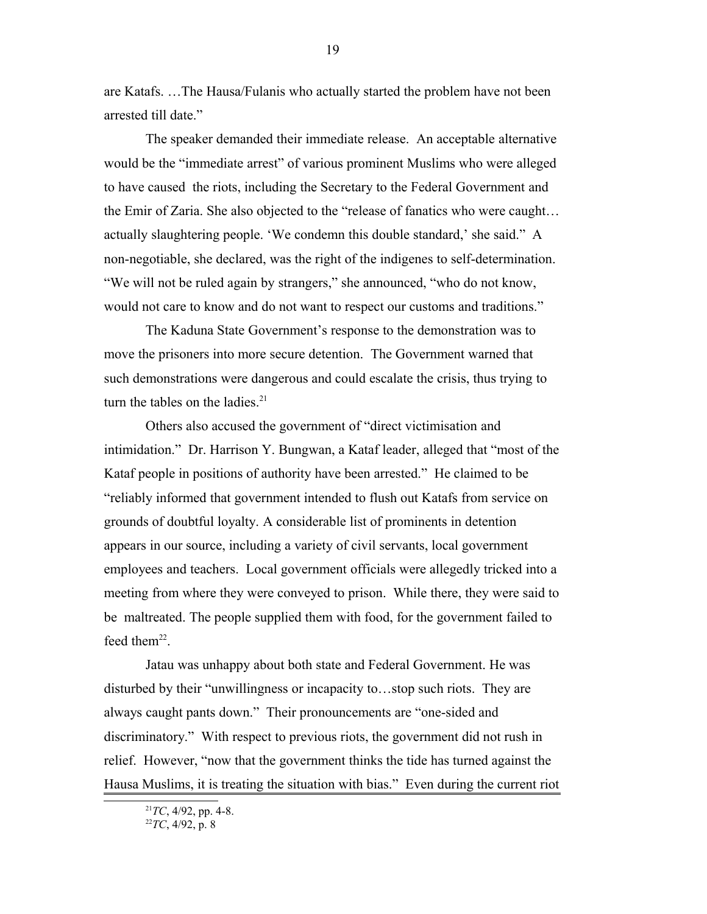are Katafs. …The Hausa/Fulanis who actually started the problem have not been arrested till date."

The speaker demanded their immediate release. An acceptable alternative would be the "immediate arrest" of various prominent Muslims who were alleged to have caused the riots, including the Secretary to the Federal Government and the Emir of Zaria. She also objected to the "release of fanatics who were caught… actually slaughtering people. 'We condemn this double standard,' she said." A non-negotiable, she declared, was the right of the indigenes to self-determination. "We will not be ruled again by strangers," she announced, "who do not know, would not care to know and do not want to respect our customs and traditions."

The Kaduna State Government's response to the demonstration was to move the prisoners into more secure detention. The Government warned that such demonstrations were dangerous and could escalate the crisis, thus trying to turn the tables on the ladies. $21$ 

Others also accused the government of "direct victimisation and intimidation." Dr. Harrison Y. Bungwan, a Kataf leader, alleged that "most of the Kataf people in positions of authority have been arrested." He claimed to be "reliably informed that government intended to flush out Katafs from service on grounds of doubtful loyalty. A considerable list of prominents in detention appears in our source, including a variety of civil servants, local government employees and teachers. Local government officials were allegedly tricked into a meeting from where they were conveyed to prison. While there, they were said to be maltreated. The people supplied them with food, for the government failed to feed the $m^{22}$  $m^{22}$  $m^{22}$ .

Jatau was unhappy about both state and Federal Government. He was disturbed by their "unwillingness or incapacity to…stop such riots. They are always caught pants down." Their pronouncements are "one-sided and discriminatory." With respect to previous riots, the government did not rush in relief. However, "now that the government thinks the tide has turned against the Hausa Muslims, it is treating the situation with bias." Even during the current riot

<span id="page-18-1"></span><span id="page-18-0"></span><sup>21</sup>*TC*, 4/92, pp. 4-8.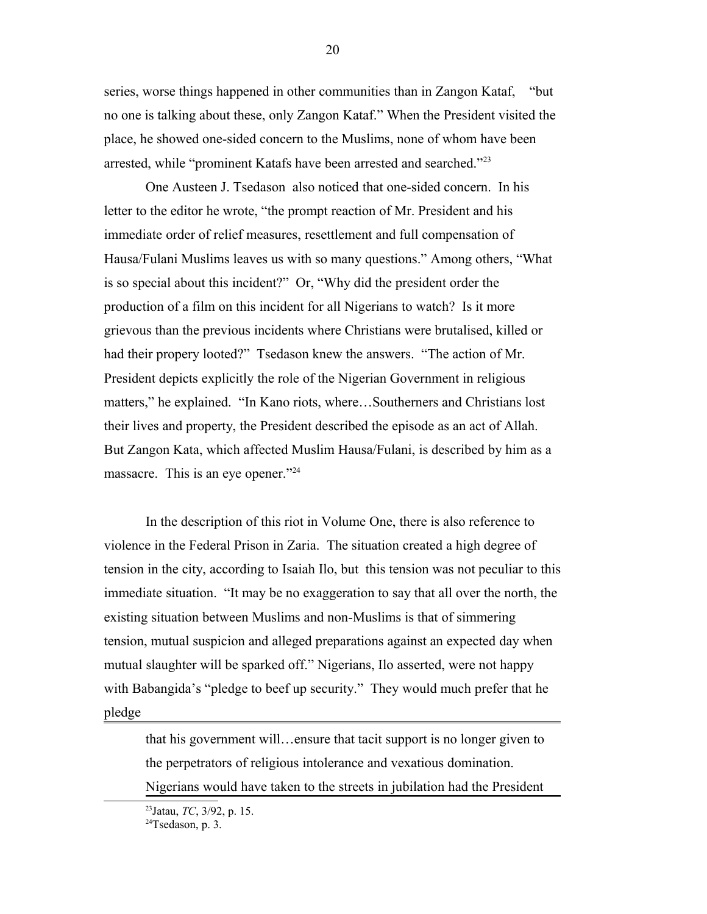series, worse things happened in other communities than in Zangon Kataf, "but no one is talking about these, only Zangon Kataf." When the President visited the place, he showed one-sided concern to the Muslims, none of whom have been arrested, while "prominent Katafs have been arrested and searched."<sup>[23](#page-19-0)</sup>

One Austeen J. Tsedason also noticed that one-sided concern. In his letter to the editor he wrote, "the prompt reaction of Mr. President and his immediate order of relief measures, resettlement and full compensation of Hausa/Fulani Muslims leaves us with so many questions." Among others, "What is so special about this incident?" Or, "Why did the president order the production of a film on this incident for all Nigerians to watch? Is it more grievous than the previous incidents where Christians were brutalised, killed or had their propery looted?" Tsedason knew the answers. "The action of Mr. President depicts explicitly the role of the Nigerian Government in religious matters," he explained. "In Kano riots, where…Southerners and Christians lost their lives and property, the President described the episode as an act of Allah. But Zangon Kata, which affected Muslim Hausa/Fulani, is described by him as a massacre. This is an eye opener."<sup>[24](#page-19-1)</sup>

In the description of this riot in Volume One, there is also reference to violence in the Federal Prison in Zaria. The situation created a high degree of tension in the city, according to Isaiah Ilo, but this tension was not peculiar to this immediate situation. "It may be no exaggeration to say that all over the north, the existing situation between Muslims and non-Muslims is that of simmering tension, mutual suspicion and alleged preparations against an expected day when mutual slaughter will be sparked off." Nigerians, Ilo asserted, were not happy with Babangida's "pledge to beef up security." They would much prefer that he pledge

that his government will…ensure that tacit support is no longer given to the perpetrators of religious intolerance and vexatious domination. Nigerians would have taken to the streets in jubilation had the President

<span id="page-19-0"></span><sup>23</sup>Jatau, *TC*, 3/92, p. 15.

<span id="page-19-1"></span> $24$ Tsedason, p. 3.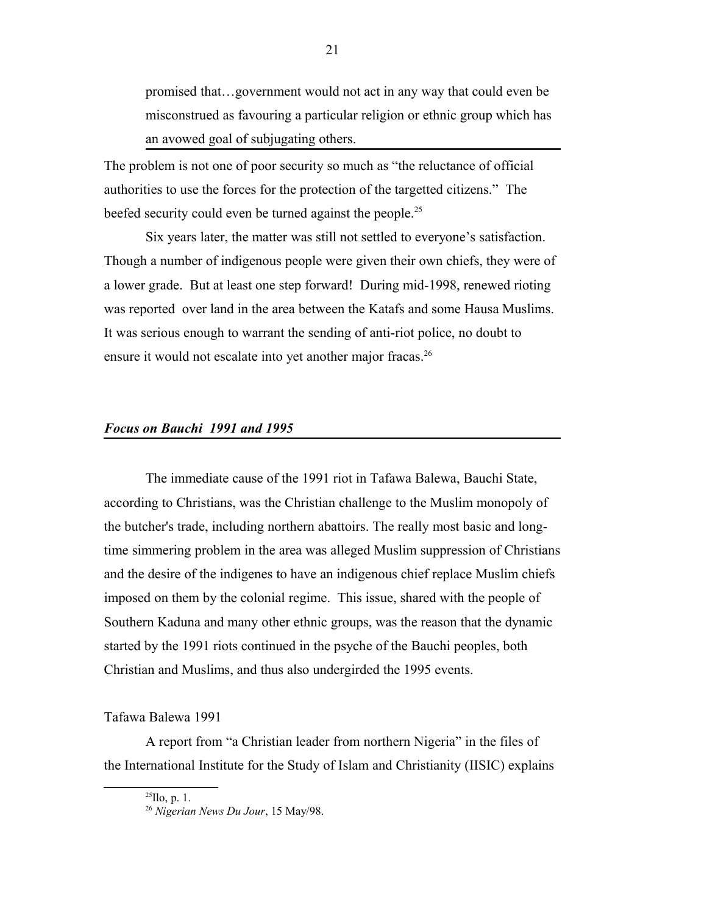promised that…government would not act in any way that could even be misconstrued as favouring a particular religion or ethnic group which has an avowed goal of subjugating others.

The problem is not one of poor security so much as "the reluctance of official authorities to use the forces for the protection of the targetted citizens." The beefed security could even be turned against the people.<sup>[25](#page-20-0)</sup>

Six years later, the matter was still not settled to everyone's satisfaction. Though a number of indigenous people were given their own chiefs, they were of a lower grade. But at least one step forward! During mid-1998, renewed rioting was reported over land in the area between the Katafs and some Hausa Muslims. It was serious enough to warrant the sending of anti-riot police, no doubt to ensure it would not escalate into yet another major fracas.<sup>[26](#page-20-1)</sup>

#### *Focus on Bauchi 1991 and 1995*

The immediate cause of the 1991 riot in Tafawa Balewa, Bauchi State, according to Christians, was the Christian challenge to the Muslim monopoly of the butcher's trade, including northern abattoirs. The really most basic and longtime simmering problem in the area was alleged Muslim suppression of Christians and the desire of the indigenes to have an indigenous chief replace Muslim chiefs imposed on them by the colonial regime. This issue, shared with the people of Southern Kaduna and many other ethnic groups, was the reason that the dynamic started by the 1991 riots continued in the psyche of the Bauchi peoples, both Christian and Muslims, and thus also undergirded the 1995 events.

### Tafawa Balewa 1991

A report from "a Christian leader from northern Nigeria" in the files of the International Institute for the Study of Islam and Christianity (IISIC) explains

<span id="page-20-0"></span> $^{25}$ Ilo, p. 1.

<span id="page-20-1"></span><sup>26</sup> *Nigerian News Du Jour*, 15 May/98.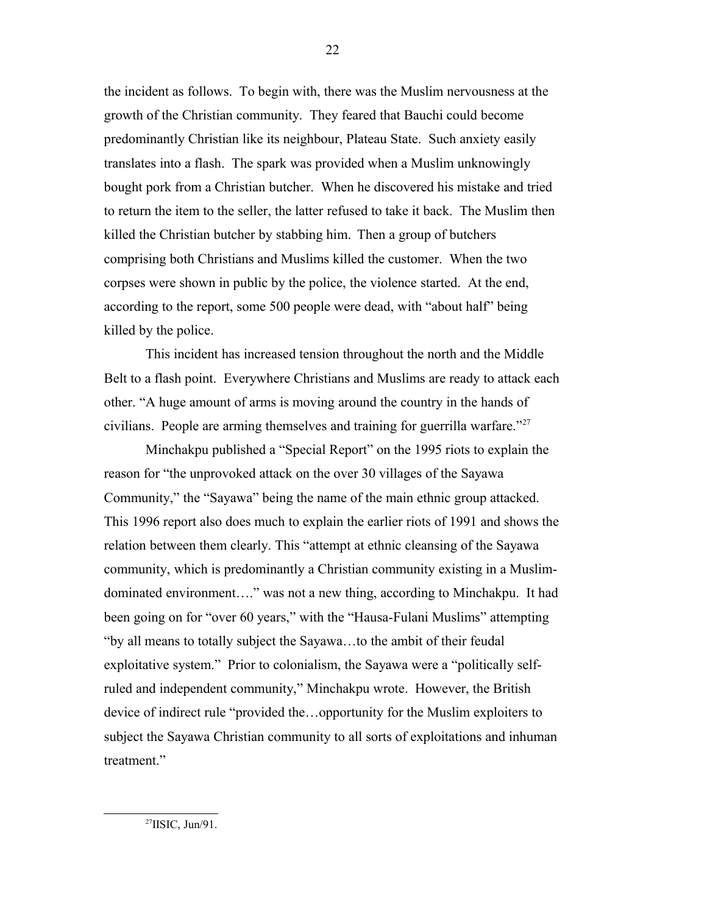the incident as follows. To begin with, there was the Muslim nervousness at the growth of the Christian community. They feared that Bauchi could become predominantly Christian like its neighbour, Plateau State. Such anxiety easily translates into a flash. The spark was provided when a Muslim unknowingly bought pork from a Christian butcher. When he discovered his mistake and tried to return the item to the seller, the latter refused to take it back. The Muslim then killed the Christian butcher by stabbing him. Then a group of butchers comprising both Christians and Muslims killed the customer. When the two corpses were shown in public by the police, the violence started. At the end, according to the report, some 500 people were dead, with "about half" being killed by the police.

This incident has increased tension throughout the north and the Middle Belt to a flash point. Everywhere Christians and Muslims are ready to attack each other. "A huge amount of arms is moving around the country in the hands of civilians. People are arming themselves and training for guerrilla warfare." $27$ 

Minchakpu published a "Special Report" on the 1995 riots to explain the reason for "the unprovoked attack on the over 30 villages of the Sayawa Community," the "Sayawa" being the name of the main ethnic group attacked. This 1996 report also does much to explain the earlier riots of 1991 and shows the relation between them clearly. This "attempt at ethnic cleansing of the Sayawa community, which is predominantly a Christian community existing in a Muslimdominated environment…." was not a new thing, according to Minchakpu. It had been going on for "over 60 years," with the "Hausa-Fulani Muslims" attempting "by all means to totally subject the Sayawa…to the ambit of their feudal exploitative system." Prior to colonialism, the Sayawa were a "politically selfruled and independent community," Minchakpu wrote. However, the British device of indirect rule "provided the…opportunity for the Muslim exploiters to subject the Sayawa Christian community to all sorts of exploitations and inhuman treatment."

<span id="page-21-0"></span><sup>27</sup>IISIC, Jun/91.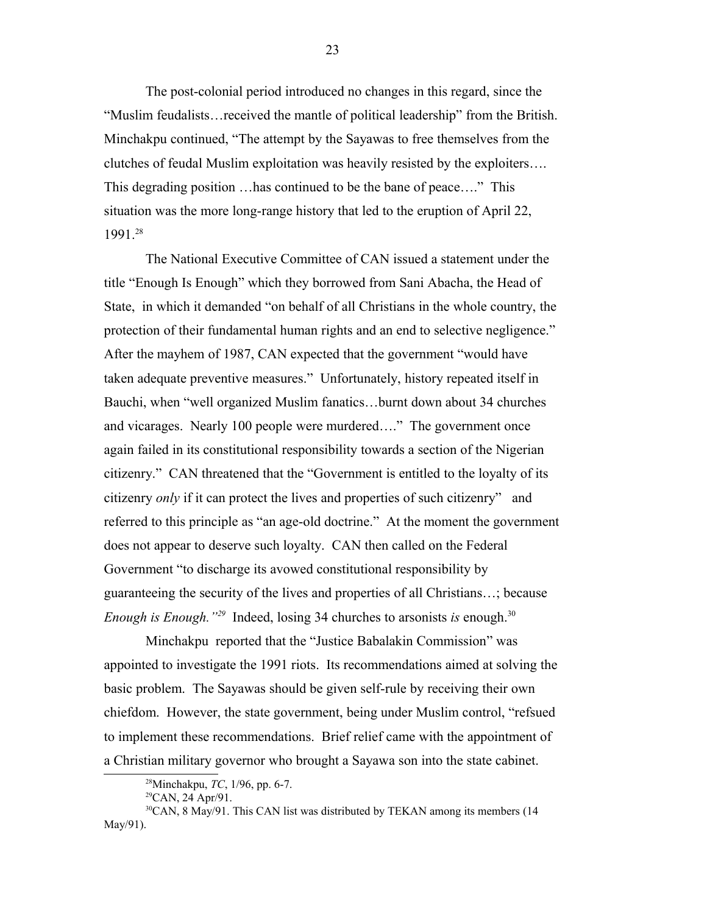The post-colonial period introduced no changes in this regard, since the "Muslim feudalists…received the mantle of political leadership" from the British. Minchakpu continued, "The attempt by the Sayawas to free themselves from the clutches of feudal Muslim exploitation was heavily resisted by the exploiters…. This degrading position …has continued to be the bane of peace…." This situation was the more long-range history that led to the eruption of April 22, 1991.[28](#page-22-0)

The National Executive Committee of CAN issued a statement under the title "Enough Is Enough" which they borrowed from Sani Abacha, the Head of State, in which it demanded "on behalf of all Christians in the whole country, the protection of their fundamental human rights and an end to selective negligence." After the mayhem of 1987, CAN expected that the government "would have taken adequate preventive measures." Unfortunately, history repeated itself in Bauchi, when "well organized Muslim fanatics…burnt down about 34 churches and vicarages. Nearly 100 people were murdered…." The government once again failed in its constitutional responsibility towards a section of the Nigerian citizenry." CAN threatened that the "Government is entitled to the loyalty of its citizenry *only* if it can protect the lives and properties of such citizenry" and referred to this principle as "an age-old doctrine." At the moment the government does not appear to deserve such loyalty. CAN then called on the Federal Government "to discharge its avowed constitutional responsibility by guaranteeing the security of the lives and properties of all Christians…; because *Enough is Enough.*<sup>2[29](#page-22-1)</sup> Indeed, losing 34 churches to arsonists *is* enough.<sup>[30](#page-22-2)</sup>

Minchakpu reported that the "Justice Babalakin Commission" was appointed to investigate the 1991 riots. Its recommendations aimed at solving the basic problem. The Sayawas should be given self-rule by receiving their own chiefdom. However, the state government, being under Muslim control, "refsued to implement these recommendations. Brief relief came with the appointment of a Christian military governor who brought a Sayawa son into the state cabinet.

<span id="page-22-0"></span><sup>28</sup>Minchakpu, *TC*, 1/96, pp. 6-7.

<span id="page-22-2"></span><span id="page-22-1"></span> $^{29}$ CAN, 24 Apr/91.

<sup>&</sup>lt;sup>30</sup>CAN, 8 May/91. This CAN list was distributed by TEKAN among its members (14 May/91).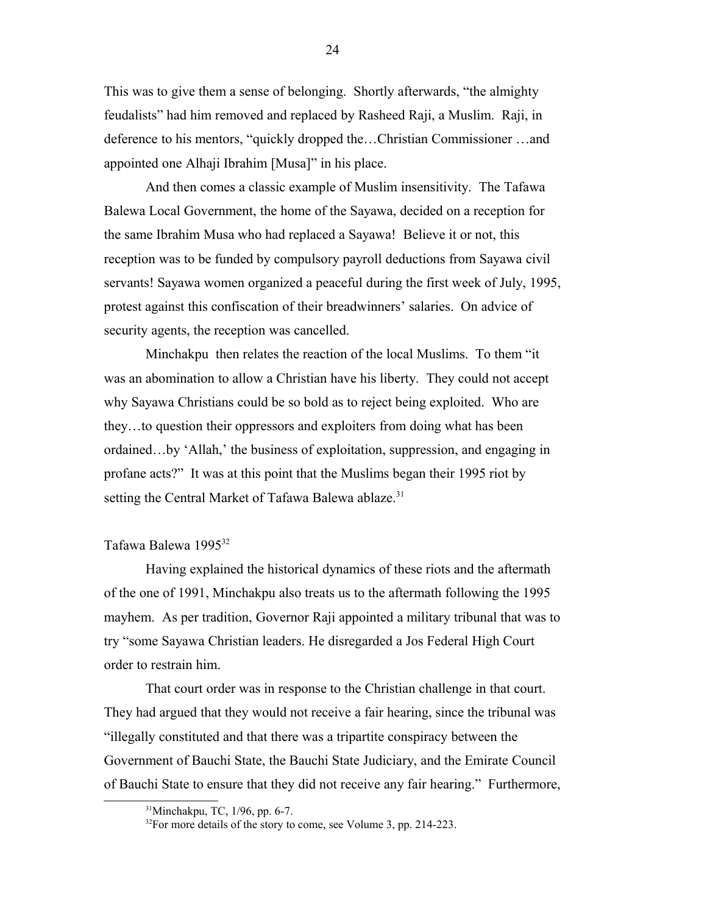This was to give them a sense of belonging. Shortly afterwards, "the almighty feudalists" had him removed and replaced by Rasheed Raji, a Muslim. Raji, in deference to his mentors, "quickly dropped the…Christian Commissioner …and appointed one Alhaji Ibrahim [Musa]" in his place.

And then comes a classic example of Muslim insensitivity. The Tafawa Balewa Local Government, the home of the Sayawa, decided on a reception for the same Ibrahim Musa who had replaced a Sayawa! Believe it or not, this reception was to be funded by compulsory payroll deductions from Sayawa civil servants! Sayawa women organized a peaceful during the first week of July, 1995, protest against this confiscation of their breadwinners' salaries. On advice of security agents, the reception was cancelled.

Minchakpu then relates the reaction of the local Muslims. To them "it was an abomination to allow a Christian have his liberty. They could not accept why Sayawa Christians could be so bold as to reject being exploited. Who are they…to question their oppressors and exploiters from doing what has been ordained…by 'Allah,' the business of exploitation, suppression, and engaging in profane acts?" It was at this point that the Muslims began their 1995 riot by setting the Central Market of Tafawa Balewa ablaze.<sup>[31](#page-23-0)</sup>

# Tafawa Balewa 1995<sup>[32](#page-23-1)</sup>

Having explained the historical dynamics of these riots and the aftermath of the one of 1991, Minchakpu also treats us to the aftermath following the 1995 mayhem. As per tradition, Governor Raji appointed a military tribunal that was to try "some Sayawa Christian leaders. He disregarded a Jos Federal High Court order to restrain him.

That court order was in response to the Christian challenge in that court. They had argued that they would not receive a fair hearing, since the tribunal was "illegally constituted and that there was a tripartite conspiracy between the Government of Bauchi State, the Bauchi State Judiciary, and the Emirate Council of Bauchi State to ensure that they did not receive any fair hearing." Furthermore,

<span id="page-23-0"></span><sup>31</sup>Minchakpu, TC, 1/96, pp. 6-7.

<span id="page-23-1"></span><sup>&</sup>lt;sup>32</sup>For more details of the story to come, see Volume 3, pp. 214-223.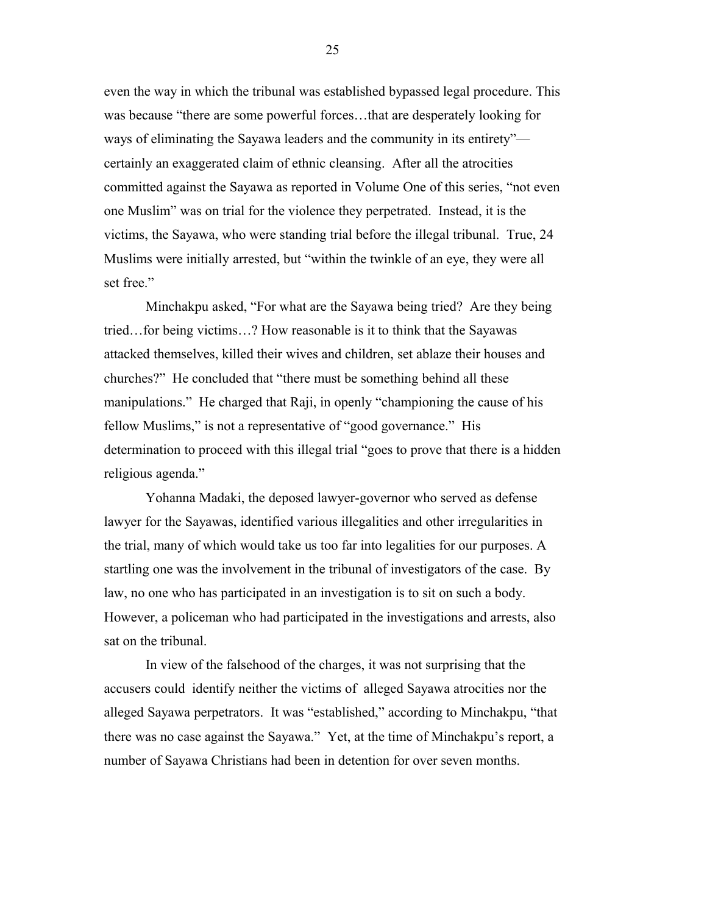even the way in which the tribunal was established bypassed legal procedure. This was because "there are some powerful forces…that are desperately looking for ways of eliminating the Sayawa leaders and the community in its entirety" certainly an exaggerated claim of ethnic cleansing. After all the atrocities committed against the Sayawa as reported in Volume One of this series, "not even one Muslim" was on trial for the violence they perpetrated. Instead, it is the victims, the Sayawa, who were standing trial before the illegal tribunal. True, 24 Muslims were initially arrested, but "within the twinkle of an eye, they were all set free."

Minchakpu asked, "For what are the Sayawa being tried? Are they being tried…for being victims…? How reasonable is it to think that the Sayawas attacked themselves, killed their wives and children, set ablaze their houses and churches?" He concluded that "there must be something behind all these manipulations." He charged that Raji, in openly "championing the cause of his fellow Muslims," is not a representative of "good governance." His determination to proceed with this illegal trial "goes to prove that there is a hidden religious agenda."

Yohanna Madaki, the deposed lawyer-governor who served as defense lawyer for the Sayawas, identified various illegalities and other irregularities in the trial, many of which would take us too far into legalities for our purposes. A startling one was the involvement in the tribunal of investigators of the case. By law, no one who has participated in an investigation is to sit on such a body. However, a policeman who had participated in the investigations and arrests, also sat on the tribunal.

In view of the falsehood of the charges, it was not surprising that the accusers could identify neither the victims of alleged Sayawa atrocities nor the alleged Sayawa perpetrators. It was "established," according to Minchakpu, "that there was no case against the Sayawa." Yet, at the time of Minchakpu's report, a number of Sayawa Christians had been in detention for over seven months.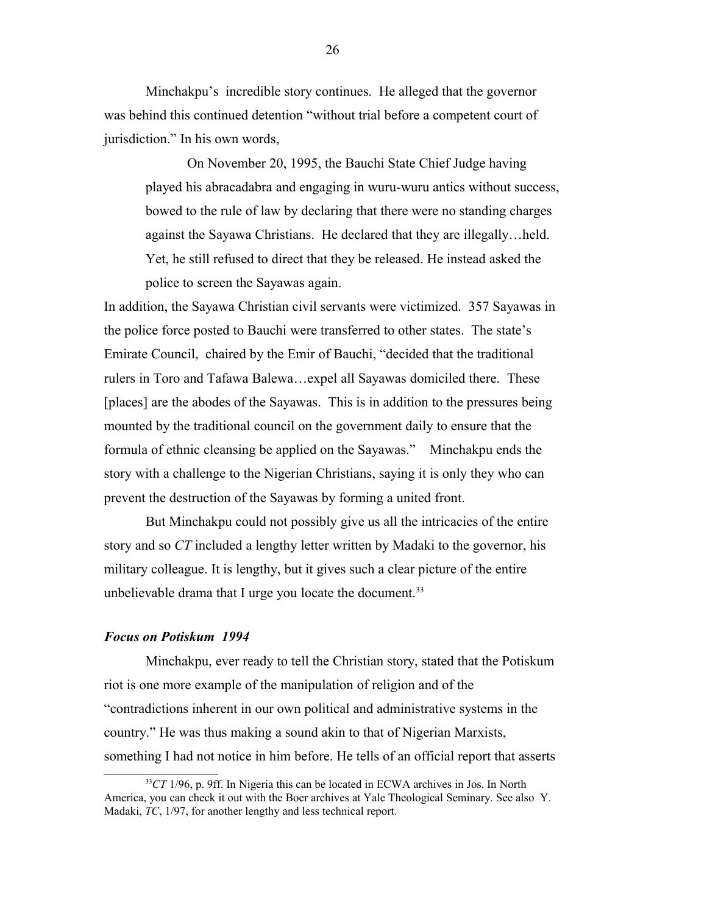Minchakpu's incredible story continues. He alleged that the governor was behind this continued detention "without trial before a competent court of jurisdiction." In his own words,

On November 20, 1995, the Bauchi State Chief Judge having played his abracadabra and engaging in wuru-wuru antics without success, bowed to the rule of law by declaring that there were no standing charges against the Sayawa Christians. He declared that they are illegally…held. Yet, he still refused to direct that they be released. He instead asked the police to screen the Sayawas again.

In addition, the Sayawa Christian civil servants were victimized. 357 Sayawas in the police force posted to Bauchi were transferred to other states. The state's Emirate Council, chaired by the Emir of Bauchi, "decided that the traditional rulers in Toro and Tafawa Balewa…expel all Sayawas domiciled there. These [places] are the abodes of the Sayawas. This is in addition to the pressures being mounted by the traditional council on the government daily to ensure that the formula of ethnic cleansing be applied on the Sayawas." Minchakpu ends the story with a challenge to the Nigerian Christians, saying it is only they who can prevent the destruction of the Sayawas by forming a united front.

But Minchakpu could not possibly give us all the intricacies of the entire story and so *CT* included a lengthy letter written by Madaki to the governor, his military colleague. It is lengthy, but it gives such a clear picture of the entire unbelievable drama that I urge you locate the document.<sup>[33](#page-25-0)</sup>

#### *Focus on Potiskum 1994*

Minchakpu, ever ready to tell the Christian story, stated that the Potiskum riot is one more example of the manipulation of religion and of the "contradictions inherent in our own political and administrative systems in the country." He was thus making a sound akin to that of Nigerian Marxists, something I had not notice in him before. He tells of an official report that asserts

<span id="page-25-0"></span><sup>&</sup>lt;sup>33</sup>CT 1/96, p. 9ff. In Nigeria this can be located in ECWA archives in Jos. In North America, you can check it out with the Boer archives at Yale Theological Seminary. See also Y. Madaki, *TC*, 1/97, for another lengthy and less technical report.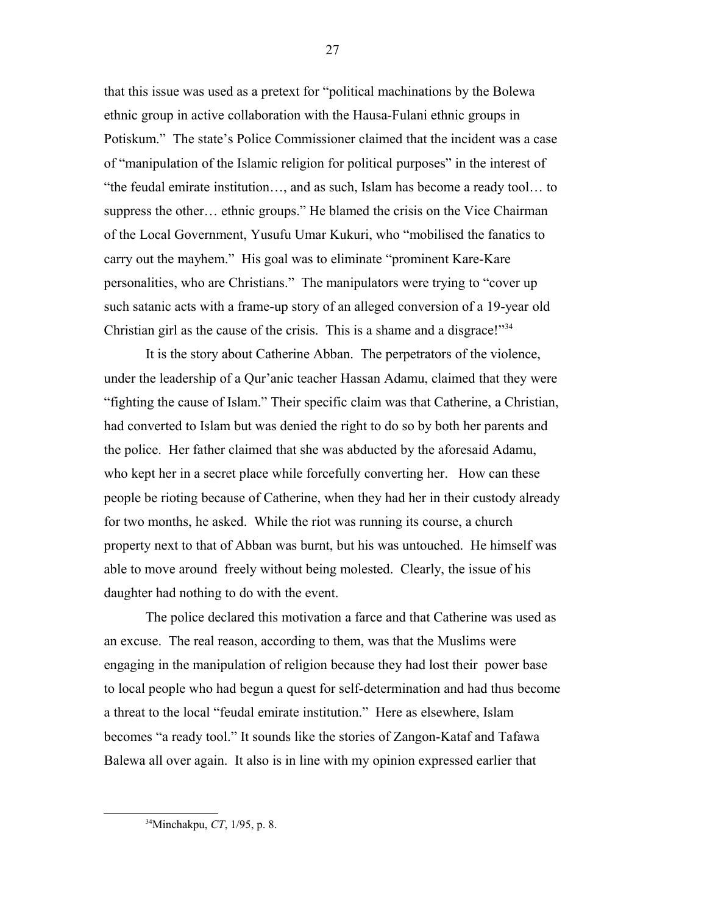that this issue was used as a pretext for "political machinations by the Bolewa ethnic group in active collaboration with the Hausa-Fulani ethnic groups in Potiskum." The state's Police Commissioner claimed that the incident was a case of "manipulation of the Islamic religion for political purposes" in the interest of "the feudal emirate institution…, and as such, Islam has become a ready tool… to suppress the other… ethnic groups." He blamed the crisis on the Vice Chairman of the Local Government, Yusufu Umar Kukuri, who "mobilised the fanatics to carry out the mayhem." His goal was to eliminate "prominent Kare-Kare personalities, who are Christians." The manipulators were trying to "cover up such satanic acts with a frame-up story of an alleged conversion of a 19-year old Christian girl as the cause of the crisis. This is a shame and a disgrace!"<sup>[34](#page-26-0)</sup>

It is the story about Catherine Abban. The perpetrators of the violence, under the leadership of a Qur'anic teacher Hassan Adamu, claimed that they were "fighting the cause of Islam." Their specific claim was that Catherine, a Christian, had converted to Islam but was denied the right to do so by both her parents and the police. Her father claimed that she was abducted by the aforesaid Adamu, who kept her in a secret place while forcefully converting her. How can these people be rioting because of Catherine, when they had her in their custody already for two months, he asked. While the riot was running its course, a church property next to that of Abban was burnt, but his was untouched. He himself was able to move around freely without being molested. Clearly, the issue of his daughter had nothing to do with the event.

The police declared this motivation a farce and that Catherine was used as an excuse. The real reason, according to them, was that the Muslims were engaging in the manipulation of religion because they had lost their power base to local people who had begun a quest for self-determination and had thus become a threat to the local "feudal emirate institution." Here as elsewhere, Islam becomes "a ready tool." It sounds like the stories of Zangon-Kataf and Tafawa Balewa all over again. It also is in line with my opinion expressed earlier that

<span id="page-26-0"></span><sup>34</sup>Minchakpu, *CT*, 1/95, p. 8.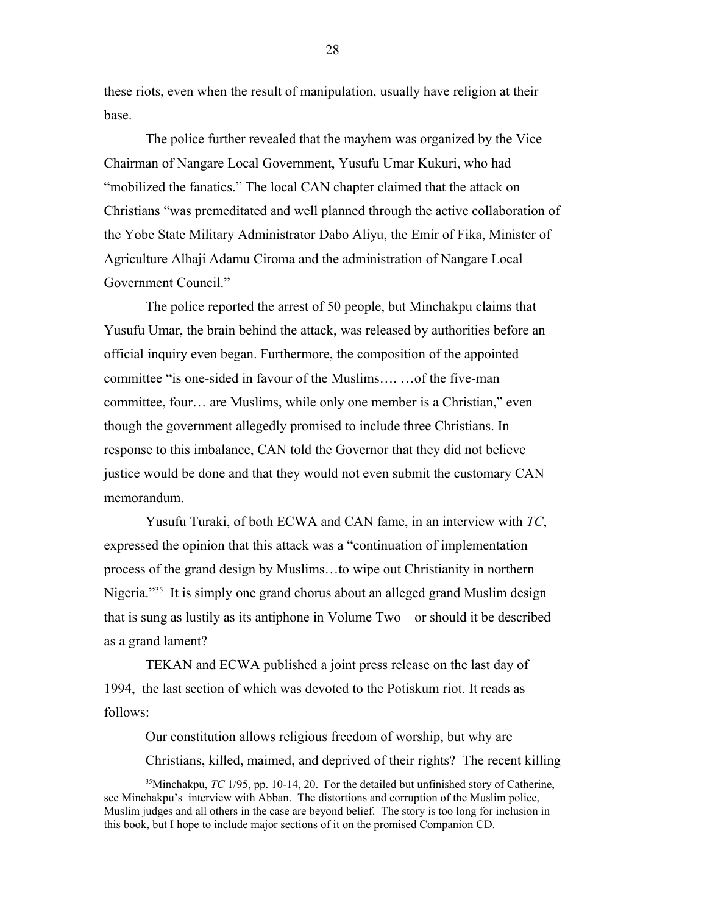these riots, even when the result of manipulation, usually have religion at their base.

The police further revealed that the mayhem was organized by the Vice Chairman of Nangare Local Government, Yusufu Umar Kukuri, who had "mobilized the fanatics." The local CAN chapter claimed that the attack on Christians "was premeditated and well planned through the active collaboration of the Yobe State Military Administrator Dabo Aliyu, the Emir of Fika, Minister of Agriculture Alhaji Adamu Ciroma and the administration of Nangare Local Government Council."

The police reported the arrest of 50 people, but Minchakpu claims that Yusufu Umar, the brain behind the attack, was released by authorities before an official inquiry even began. Furthermore, the composition of the appointed committee "is one-sided in favour of the Muslims…. …of the five-man committee, four… are Muslims, while only one member is a Christian," even though the government allegedly promised to include three Christians. In response to this imbalance, CAN told the Governor that they did not believe justice would be done and that they would not even submit the customary CAN memorandum.

Yusufu Turaki, of both ECWA and CAN fame, in an interview with *TC*, expressed the opinion that this attack was a "continuation of implementation process of the grand design by Muslims…to wipe out Christianity in northern Nigeria."<sup>[35](#page-27-0)</sup> It is simply one grand chorus about an alleged grand Muslim design that is sung as lustily as its antiphone in Volume Two—or should it be described as a grand lament?

TEKAN and ECWA published a joint press release on the last day of 1994, the last section of which was devoted to the Potiskum riot. It reads as follows:

<span id="page-27-0"></span>Our constitution allows religious freedom of worship, but why are Christians, killed, maimed, and deprived of their rights? The recent killing

<sup>&</sup>lt;sup>35</sup>Minchakpu, *TC* 1/95, pp. 10-14, 20. For the detailed but unfinished story of Catherine, see Minchakpu's interview with Abban. The distortions and corruption of the Muslim police, Muslim judges and all others in the case are beyond belief. The story is too long for inclusion in this book, but I hope to include major sections of it on the promised Companion CD.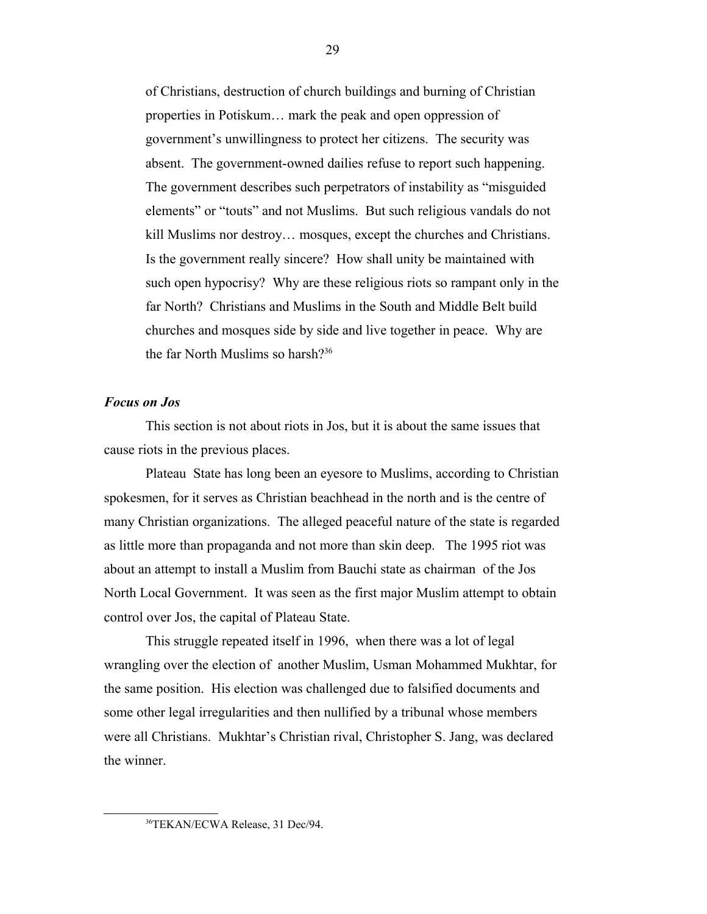of Christians, destruction of church buildings and burning of Christian properties in Potiskum… mark the peak and open oppression of government's unwillingness to protect her citizens. The security was absent. The government-owned dailies refuse to report such happening. The government describes such perpetrators of instability as "misguided elements" or "touts" and not Muslims. But such religious vandals do not kill Muslims nor destroy… mosques, except the churches and Christians. Is the government really sincere? How shall unity be maintained with such open hypocrisy? Why are these religious riots so rampant only in the far North? Christians and Muslims in the South and Middle Belt build churches and mosques side by side and live together in peace. Why are the far North Muslims so harsh?<sup>[36](#page-28-0)</sup>

# *Focus on Jos*

This section is not about riots in Jos, but it is about the same issues that cause riots in the previous places.

Plateau State has long been an eyesore to Muslims, according to Christian spokesmen, for it serves as Christian beachhead in the north and is the centre of many Christian organizations. The alleged peaceful nature of the state is regarded as little more than propaganda and not more than skin deep. The 1995 riot was about an attempt to install a Muslim from Bauchi state as chairman of the Jos North Local Government. It was seen as the first major Muslim attempt to obtain control over Jos, the capital of Plateau State.

This struggle repeated itself in 1996, when there was a lot of legal wrangling over the election of another Muslim, Usman Mohammed Mukhtar, for the same position. His election was challenged due to falsified documents and some other legal irregularities and then nullified by a tribunal whose members were all Christians. Mukhtar's Christian rival, Christopher S. Jang, was declared the winner.

<span id="page-28-0"></span><sup>36</sup>TEKAN/ECWA Release, 31 Dec/94.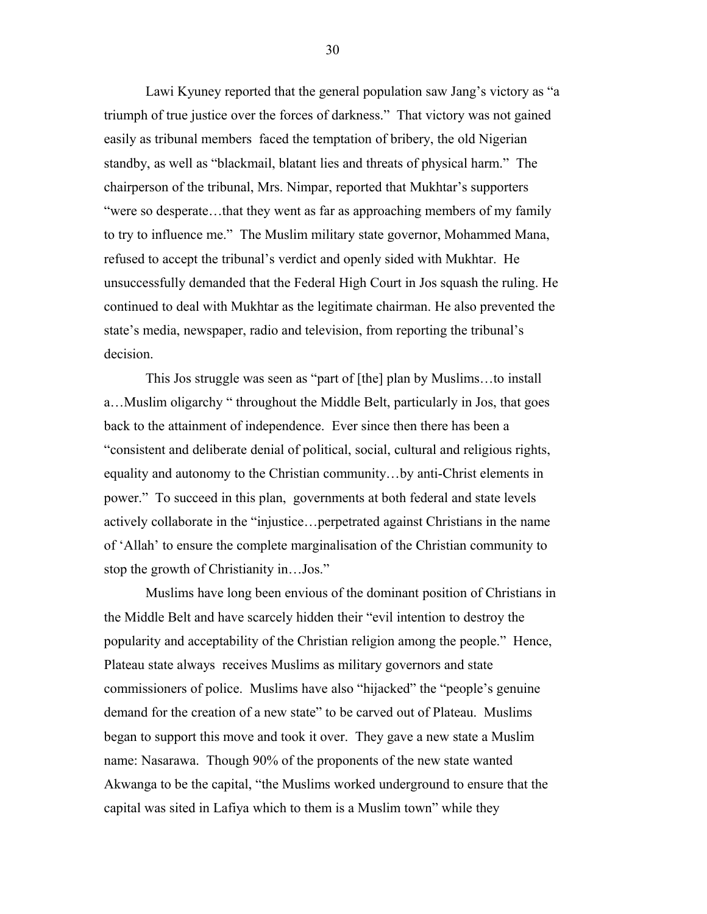Lawi Kyuney reported that the general population saw Jang's victory as "a triumph of true justice over the forces of darkness." That victory was not gained easily as tribunal members faced the temptation of bribery, the old Nigerian standby, as well as "blackmail, blatant lies and threats of physical harm." The chairperson of the tribunal, Mrs. Nimpar, reported that Mukhtar's supporters "were so desperate…that they went as far as approaching members of my family to try to influence me." The Muslim military state governor, Mohammed Mana, refused to accept the tribunal's verdict and openly sided with Mukhtar. He unsuccessfully demanded that the Federal High Court in Jos squash the ruling. He continued to deal with Mukhtar as the legitimate chairman. He also prevented the state's media, newspaper, radio and television, from reporting the tribunal's decision.

This Jos struggle was seen as "part of [the] plan by Muslims…to install a…Muslim oligarchy " throughout the Middle Belt, particularly in Jos, that goes back to the attainment of independence. Ever since then there has been a "consistent and deliberate denial of political, social, cultural and religious rights, equality and autonomy to the Christian community…by anti-Christ elements in power." To succeed in this plan, governments at both federal and state levels actively collaborate in the "injustice…perpetrated against Christians in the name of 'Allah' to ensure the complete marginalisation of the Christian community to stop the growth of Christianity in…Jos."

Muslims have long been envious of the dominant position of Christians in the Middle Belt and have scarcely hidden their "evil intention to destroy the popularity and acceptability of the Christian religion among the people." Hence, Plateau state always receives Muslims as military governors and state commissioners of police. Muslims have also "hijacked" the "people's genuine demand for the creation of a new state" to be carved out of Plateau. Muslims began to support this move and took it over. They gave a new state a Muslim name: Nasarawa. Though 90% of the proponents of the new state wanted Akwanga to be the capital, "the Muslims worked underground to ensure that the capital was sited in Lafiya which to them is a Muslim town" while they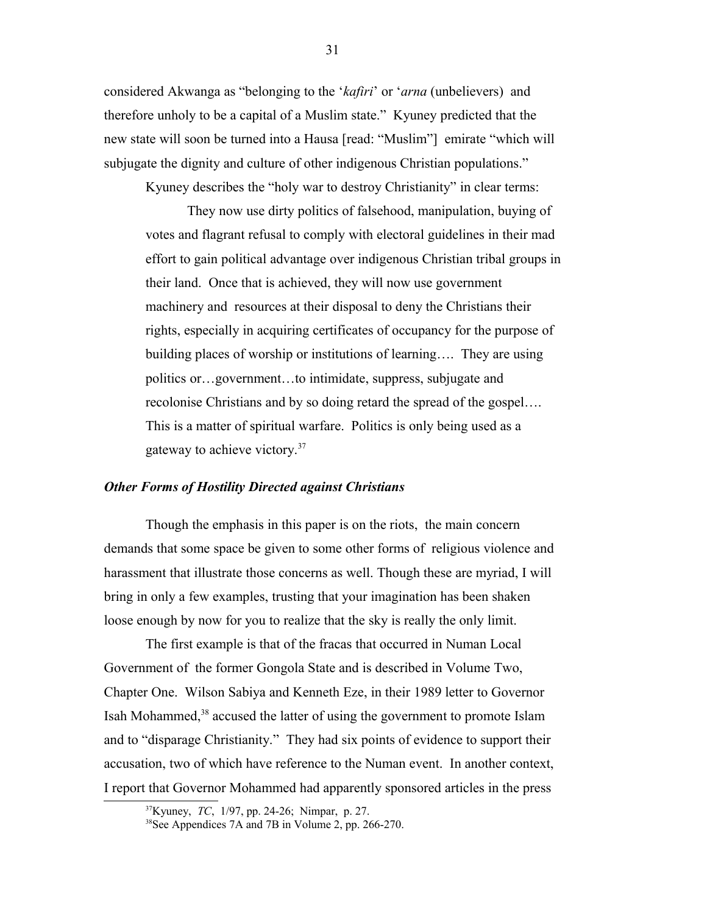considered Akwanga as "belonging to the '*kafiri*' or '*arna* (unbelievers) and therefore unholy to be a capital of a Muslim state." Kyuney predicted that the new state will soon be turned into a Hausa [read: "Muslim"] emirate "which will subjugate the dignity and culture of other indigenous Christian populations."

Kyuney describes the "holy war to destroy Christianity" in clear terms:

They now use dirty politics of falsehood, manipulation, buying of votes and flagrant refusal to comply with electoral guidelines in their mad effort to gain political advantage over indigenous Christian tribal groups in their land. Once that is achieved, they will now use government machinery and resources at their disposal to deny the Christians their rights, especially in acquiring certificates of occupancy for the purpose of building places of worship or institutions of learning…. They are using politics or…government…to intimidate, suppress, subjugate and recolonise Christians and by so doing retard the spread of the gospel…. This is a matter of spiritual warfare. Politics is only being used as a gateway to achieve victory.[37](#page-30-0)

#### *Other Forms of Hostility Directed against Christians*

Though the emphasis in this paper is on the riots, the main concern demands that some space be given to some other forms of religious violence and harassment that illustrate those concerns as well. Though these are myriad, I will bring in only a few examples, trusting that your imagination has been shaken loose enough by now for you to realize that the sky is really the only limit.

The first example is that of the fracas that occurred in Numan Local Government of the former Gongola State and is described in Volume Two, Chapter One. Wilson Sabiya and Kenneth Eze, in their 1989 letter to Governor Isah Mohammed,<sup>[38](#page-30-1)</sup> accused the latter of using the government to promote Islam and to "disparage Christianity." They had six points of evidence to support their accusation, two of which have reference to the Numan event. In another context, I report that Governor Mohammed had apparently sponsored articles in the press

<span id="page-30-0"></span><sup>37</sup>Kyuney, *TC*, 1/97, pp. 24-26; Nimpar, p. 27.

<span id="page-30-1"></span><sup>&</sup>lt;sup>38</sup>See Appendices 7A and 7B in Volume 2, pp. 266-270.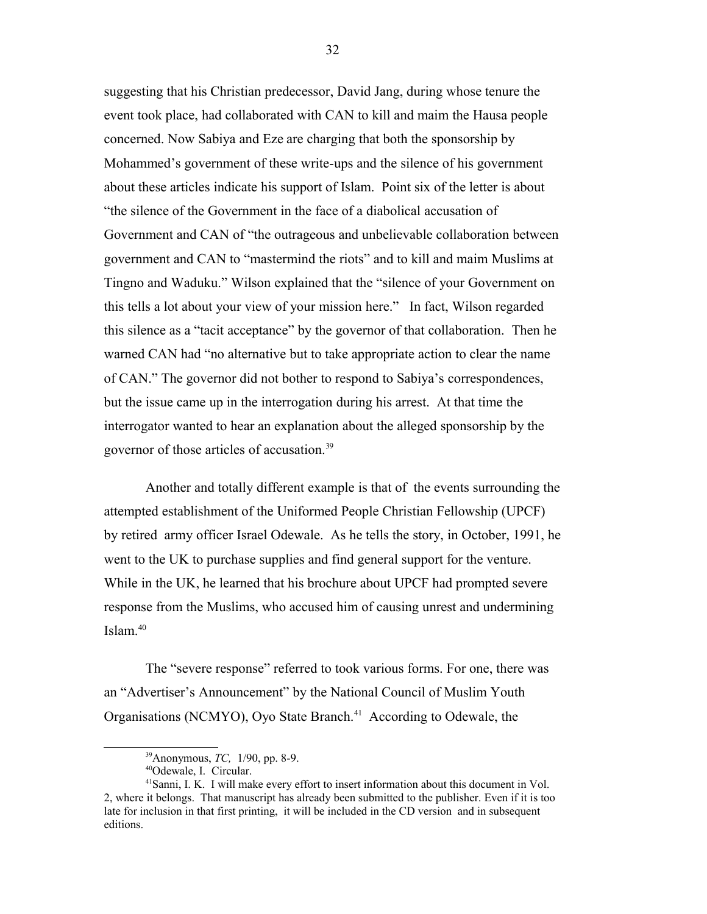suggesting that his Christian predecessor, David Jang, during whose tenure the event took place, had collaborated with CAN to kill and maim the Hausa people concerned. Now Sabiya and Eze are charging that both the sponsorship by Mohammed's government of these write-ups and the silence of his government about these articles indicate his support of Islam. Point six of the letter is about "the silence of the Government in the face of a diabolical accusation of Government and CAN of "the outrageous and unbelievable collaboration between government and CAN to "mastermind the riots" and to kill and maim Muslims at Tingno and Waduku." Wilson explained that the "silence of your Government on this tells a lot about your view of your mission here." In fact, Wilson regarded this silence as a "tacit acceptance" by the governor of that collaboration. Then he warned CAN had "no alternative but to take appropriate action to clear the name of CAN." The governor did not bother to respond to Sabiya's correspondences, but the issue came up in the interrogation during his arrest. At that time the interrogator wanted to hear an explanation about the alleged sponsorship by the governor of those articles of accusation.<sup>[39](#page-31-0)</sup>

Another and totally different example is that of the events surrounding the attempted establishment of the Uniformed People Christian Fellowship (UPCF) by retired army officer Israel Odewale. As he tells the story, in October, 1991, he went to the UK to purchase supplies and find general support for the venture. While in the UK, he learned that his brochure about UPCF had prompted severe response from the Muslims, who accused him of causing unrest and undermining Islam.[40](#page-31-1)

The "severe response" referred to took various forms. For one, there was an "Advertiser's Announcement" by the National Council of Muslim Youth Organisations (NCMYO), Oyo State Branch.<sup>[41](#page-31-2)</sup> According to Odewale, the

<span id="page-31-0"></span><sup>39</sup>Anonymous, *TC,* 1/90, pp. 8-9.

<span id="page-31-2"></span><span id="page-31-1"></span><sup>40</sup>Odewale, I. Circular.

<sup>41</sup>Sanni, I. K. I will make every effort to insert information about this document in Vol. 2, where it belongs. That manuscript has already been submitted to the publisher. Even if it is too late for inclusion in that first printing, it will be included in the CD version and in subsequent editions.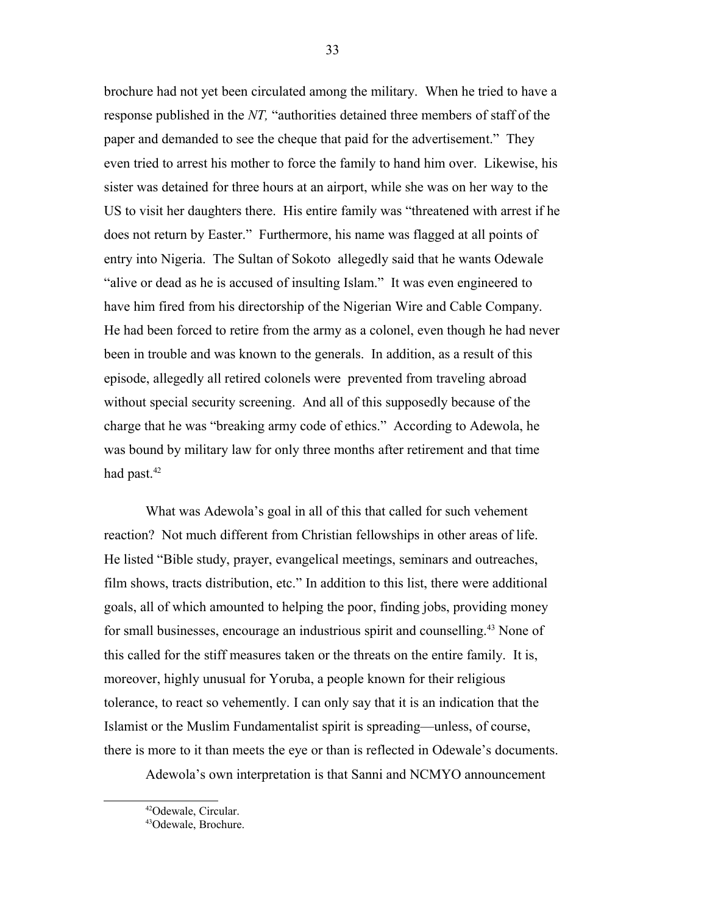brochure had not yet been circulated among the military. When he tried to have a response published in the *NT,* "authorities detained three members of staff of the paper and demanded to see the cheque that paid for the advertisement." They even tried to arrest his mother to force the family to hand him over. Likewise, his sister was detained for three hours at an airport, while she was on her way to the US to visit her daughters there. His entire family was "threatened with arrest if he does not return by Easter." Furthermore, his name was flagged at all points of entry into Nigeria. The Sultan of Sokoto allegedly said that he wants Odewale "alive or dead as he is accused of insulting Islam." It was even engineered to have him fired from his directorship of the Nigerian Wire and Cable Company. He had been forced to retire from the army as a colonel, even though he had never been in trouble and was known to the generals. In addition, as a result of this episode, allegedly all retired colonels were prevented from traveling abroad without special security screening. And all of this supposedly because of the charge that he was "breaking army code of ethics." According to Adewola, he was bound by military law for only three months after retirement and that time had past.<sup>[42](#page-32-0)</sup>

What was Adewola's goal in all of this that called for such vehement reaction? Not much different from Christian fellowships in other areas of life. He listed "Bible study, prayer, evangelical meetings, seminars and outreaches, film shows, tracts distribution, etc." In addition to this list, there were additional goals, all of which amounted to helping the poor, finding jobs, providing money for small businesses, encourage an industrious spirit and counselling.[43](#page-32-1) None of this called for the stiff measures taken or the threats on the entire family. It is, moreover, highly unusual for Yoruba, a people known for their religious tolerance, to react so vehemently. I can only say that it is an indication that the Islamist or the Muslim Fundamentalist spirit is spreading—unless, of course, there is more to it than meets the eye or than is reflected in Odewale's documents.

Adewola's own interpretation is that Sanni and NCMYO announcement

<span id="page-32-0"></span><sup>42</sup>Odewale, Circular.

<span id="page-32-1"></span><sup>43</sup>Odewale, Brochure.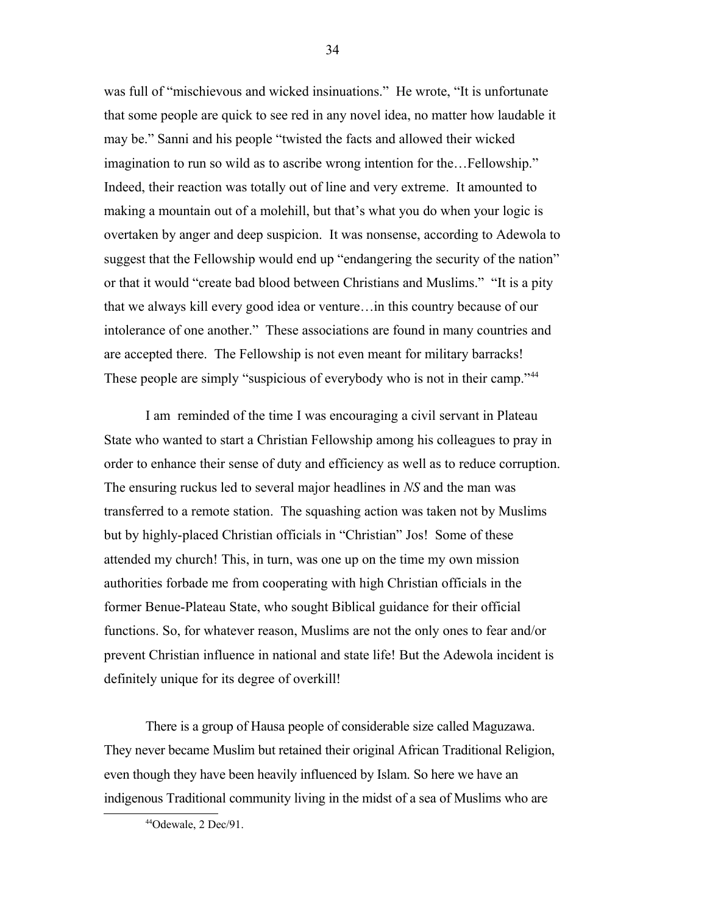was full of "mischievous and wicked insinuations." He wrote, "It is unfortunate that some people are quick to see red in any novel idea, no matter how laudable it may be." Sanni and his people "twisted the facts and allowed their wicked imagination to run so wild as to ascribe wrong intention for the…Fellowship." Indeed, their reaction was totally out of line and very extreme. It amounted to making a mountain out of a molehill, but that's what you do when your logic is overtaken by anger and deep suspicion. It was nonsense, according to Adewola to suggest that the Fellowship would end up "endangering the security of the nation" or that it would "create bad blood between Christians and Muslims." "It is a pity that we always kill every good idea or venture…in this country because of our intolerance of one another." These associations are found in many countries and are accepted there. The Fellowship is not even meant for military barracks! These people are simply "suspicious of everybody who is not in their camp."<sup>[44](#page-33-0)</sup>

I am reminded of the time I was encouraging a civil servant in Plateau State who wanted to start a Christian Fellowship among his colleagues to pray in order to enhance their sense of duty and efficiency as well as to reduce corruption. The ensuring ruckus led to several major headlines in *NS* and the man was transferred to a remote station. The squashing action was taken not by Muslims but by highly-placed Christian officials in "Christian" Jos! Some of these attended my church! This, in turn, was one up on the time my own mission authorities forbade me from cooperating with high Christian officials in the former Benue-Plateau State, who sought Biblical guidance for their official functions. So, for whatever reason, Muslims are not the only ones to fear and/or prevent Christian influence in national and state life! But the Adewola incident is definitely unique for its degree of overkill!

There is a group of Hausa people of considerable size called Maguzawa. They never became Muslim but retained their original African Traditional Religion, even though they have been heavily influenced by Islam. So here we have an indigenous Traditional community living in the midst of a sea of Muslims who are

<span id="page-33-0"></span><sup>44</sup>Odewale, 2 Dec/91.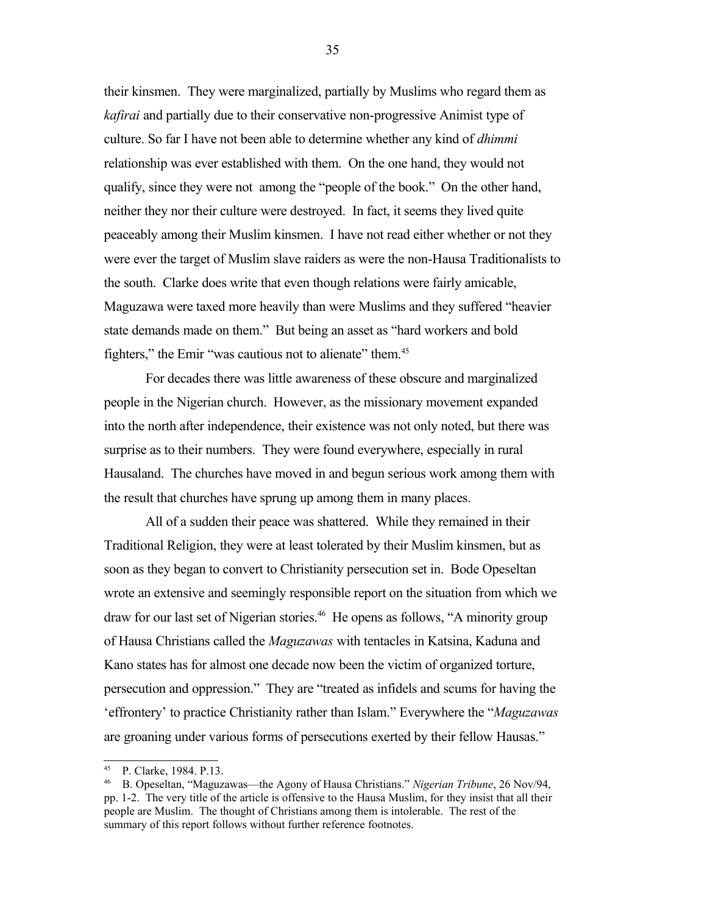their kinsmen. They were marginalized, partially by Muslims who regard them as *kafirai* and partially due to their conservative non-progressive Animist type of culture. So far I have not been able to determine whether any kind of *dhimmi* relationship was ever established with them. On the one hand, they would not qualify, since they were not among the "people of the book." On the other hand, neither they nor their culture were destroyed. In fact, it seems they lived quite peaceably among their Muslim kinsmen. I have not read either whether or not they were ever the target of Muslim slave raiders as were the non-Hausa Traditionalists to the south. Clarke does write that even though relations were fairly amicable, Maguzawa were taxed more heavily than were Muslims and they suffered "heavier state demands made on them." But being an asset as "hard workers and bold fighters," the Emir "was cautious not to alienate" them.<sup>[45](#page-34-0)</sup>

For decades there was little awareness of these obscure and marginalized people in the Nigerian church. However, as the missionary movement expanded into the north after independence, their existence was not only noted, but there was surprise as to their numbers. They were found everywhere, especially in rural Hausaland. The churches have moved in and begun serious work among them with the result that churches have sprung up among them in many places.

All of a sudden their peace was shattered. While they remained in their Traditional Religion, they were at least tolerated by their Muslim kinsmen, but as soon as they began to convert to Christianity persecution set in. Bode Opeseltan wrote an extensive and seemingly responsible report on the situation from which we draw for our last set of Nigerian stories.<sup>[46](#page-34-1)</sup> He opens as follows, "A minority group of Hausa Christians called the *Maguzawas* with tentacles in Katsina, Kaduna and Kano states has for almost one decade now been the victim of organized torture, persecution and oppression." They are "treated as infidels and scums for having the 'effrontery' to practice Christianity rather than Islam." Everywhere the "*Maguzawas* are groaning under various forms of persecutions exerted by their fellow Hausas."

<span id="page-34-0"></span><sup>45</sup> P. Clarke, 1984. P.13.

<span id="page-34-1"></span><sup>46</sup> B. Opeseltan, "Maguzawas—the Agony of Hausa Christians." *Nigerian Tribune*, 26 Nov/94, pp. 1-2. The very title of the article is offensive to the Hausa Muslim, for they insist that all their people are Muslim. The thought of Christians among them is intolerable. The rest of the summary of this report follows without further reference footnotes.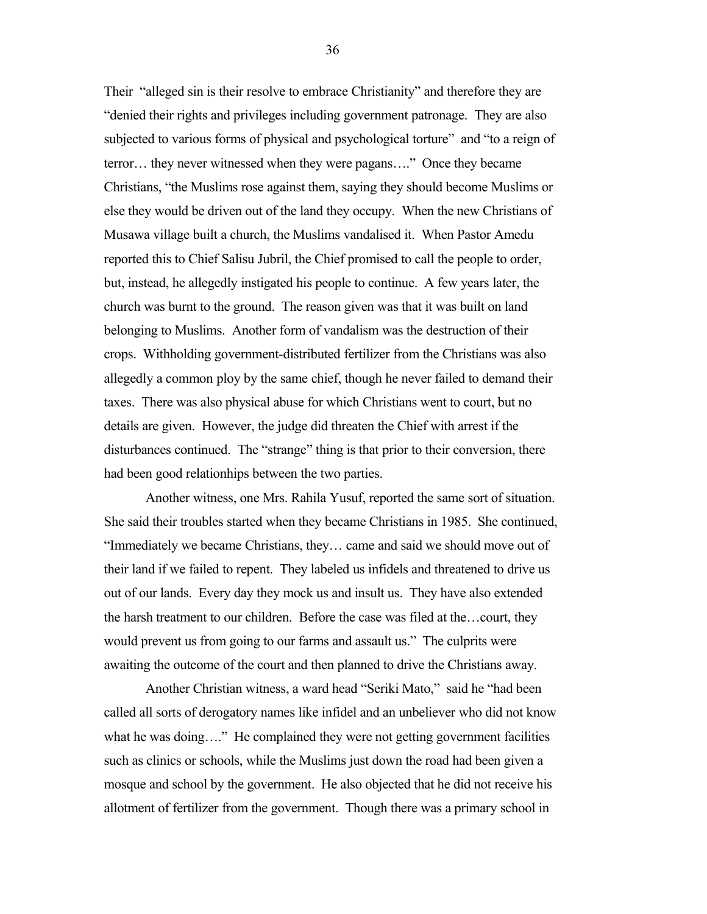Their "alleged sin is their resolve to embrace Christianity" and therefore they are "denied their rights and privileges including government patronage. They are also subjected to various forms of physical and psychological torture" and "to a reign of terror… they never witnessed when they were pagans…." Once they became Christians, "the Muslims rose against them, saying they should become Muslims or else they would be driven out of the land they occupy. When the new Christians of Musawa village built a church, the Muslims vandalised it. When Pastor Amedu reported this to Chief Salisu Jubril, the Chief promised to call the people to order, but, instead, he allegedly instigated his people to continue. A few years later, the church was burnt to the ground. The reason given was that it was built on land belonging to Muslims. Another form of vandalism was the destruction of their crops. Withholding government-distributed fertilizer from the Christians was also allegedly a common ploy by the same chief, though he never failed to demand their taxes. There was also physical abuse for which Christians went to court, but no details are given. However, the judge did threaten the Chief with arrest if the disturbances continued. The "strange" thing is that prior to their conversion, there had been good relationhips between the two parties.

Another witness, one Mrs. Rahila Yusuf, reported the same sort of situation. She said their troubles started when they became Christians in 1985. She continued, "Immediately we became Christians, they… came and said we should move out of their land if we failed to repent. They labeled us infidels and threatened to drive us out of our lands. Every day they mock us and insult us. They have also extended the harsh treatment to our children. Before the case was filed at the…court, they would prevent us from going to our farms and assault us." The culprits were awaiting the outcome of the court and then planned to drive the Christians away.

Another Christian witness, a ward head "Seriki Mato," said he "had been called all sorts of derogatory names like infidel and an unbeliever who did not know what he was doing...." He complained they were not getting government facilities such as clinics or schools, while the Muslims just down the road had been given a mosque and school by the government. He also objected that he did not receive his allotment of fertilizer from the government. Though there was a primary school in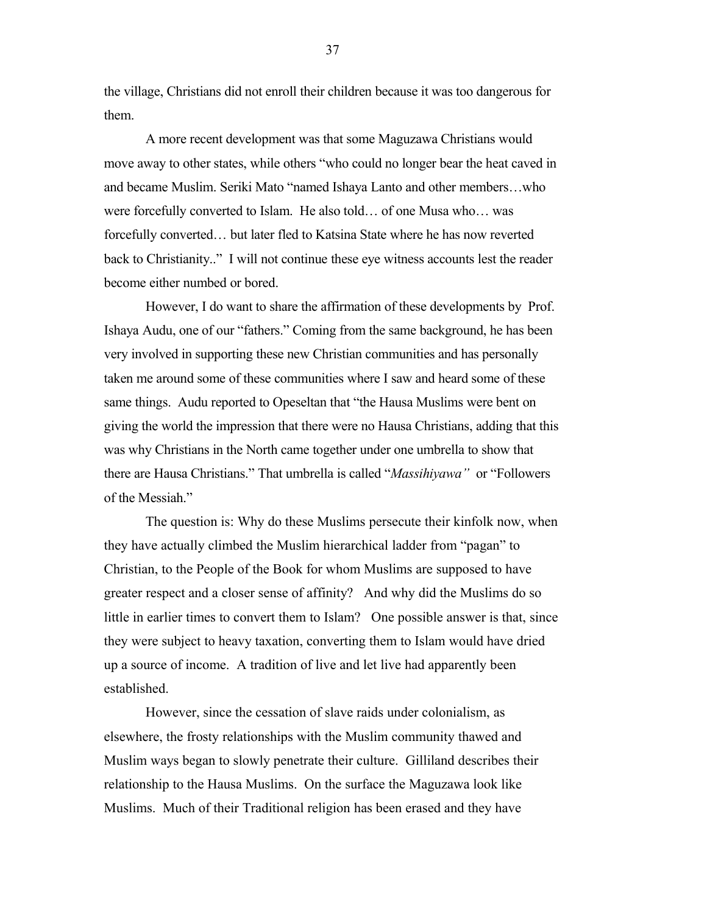the village, Christians did not enroll their children because it was too dangerous for them.

A more recent development was that some Maguzawa Christians would move away to other states, while others "who could no longer bear the heat caved in and became Muslim. Seriki Mato "named Ishaya Lanto and other members…who were forcefully converted to Islam. He also told… of one Musa who… was forcefully converted… but later fled to Katsina State where he has now reverted back to Christianity.." I will not continue these eye witness accounts lest the reader become either numbed or bored.

However, I do want to share the affirmation of these developments by Prof. Ishaya Audu, one of our "fathers." Coming from the same background, he has been very involved in supporting these new Christian communities and has personally taken me around some of these communities where I saw and heard some of these same things. Audu reported to Opeseltan that "the Hausa Muslims were bent on giving the world the impression that there were no Hausa Christians, adding that this was why Christians in the North came together under one umbrella to show that there are Hausa Christians." That umbrella is called "*Massihiyawa"* or "Followers of the Messiah."

The question is: Why do these Muslims persecute their kinfolk now, when they have actually climbed the Muslim hierarchical ladder from "pagan" to Christian, to the People of the Book for whom Muslims are supposed to have greater respect and a closer sense of affinity? And why did the Muslims do so little in earlier times to convert them to Islam? One possible answer is that, since they were subject to heavy taxation, converting them to Islam would have dried up a source of income. A tradition of live and let live had apparently been established.

However, since the cessation of slave raids under colonialism, as elsewhere, the frosty relationships with the Muslim community thawed and Muslim ways began to slowly penetrate their culture. Gilliland describes their relationship to the Hausa Muslims. On the surface the Maguzawa look like Muslims. Much of their Traditional religion has been erased and they have